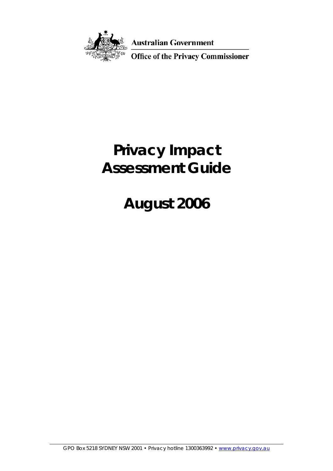

**Australian Government** 

Office of the Privacy Commissioner

# **Privacy Impact Assessment Guide**

# **August 2006**

GPO Box 5218 SYDNEY NSW 2001 • Privacy hotline 1300363992 • www.privacy.gov.au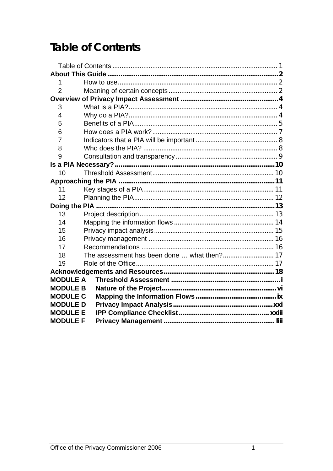### <span id="page-1-0"></span>**Table of Contents**

| 1               |  |  |
|-----------------|--|--|
| $\overline{2}$  |  |  |
|                 |  |  |
| 3               |  |  |
| 4               |  |  |
| 5               |  |  |
| 6               |  |  |
| 7               |  |  |
| 8               |  |  |
| 9               |  |  |
|                 |  |  |
| 10              |  |  |
|                 |  |  |
| 11              |  |  |
| 12              |  |  |
|                 |  |  |
| 13              |  |  |
| 14              |  |  |
| 15              |  |  |
| 16              |  |  |
| 17              |  |  |
| 18              |  |  |
| 19              |  |  |
|                 |  |  |
| <b>MODULE A</b> |  |  |
| <b>MODULE B</b> |  |  |
| <b>MODULE C</b> |  |  |
| <b>MODULE D</b> |  |  |
| <b>MODULE E</b> |  |  |
| <b>MODULE F</b> |  |  |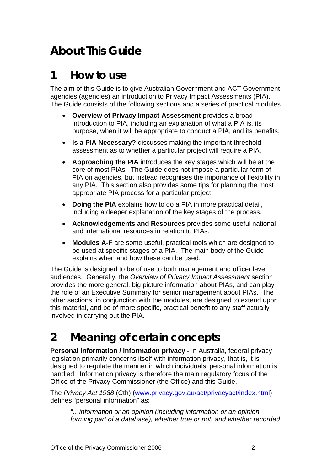## <span id="page-2-0"></span>**About This Guide**

### **1 How to use**

The aim of this Guide is to give Australian Government and ACT Government agencies (agencies) an introduction to Privacy Impact Assessments (PIA). The Guide consists of the following sections and a series of practical modules.

- **Overview of Privacy Impact Assessment** provides a broad introduction to PIA, including an explanation of what a PIA is, its purpose, when it will be appropriate to conduct a PIA, and its benefits.
- **Is a PIA Necessary?** discusses making the important threshold assessment as to whether a particular project will require a PIA.
- **Approaching the PIA** introduces the key stages which will be at the core of most PIAs. The Guide does not impose a particular form of PIA on agencies, but instead recognises the importance of flexibility in any PIA. This section also provides some tips for planning the most appropriate PIA process for a particular project.
- **Doing the PIA** explains how to do a PIA in more practical detail, including a deeper explanation of the key stages of the process.
- **Acknowledgements and Resources** provides some useful national and international resources in relation to PIAs.
- **Modules A-F** are some useful, practical tools which are designed to be used at specific stages of a PIA. The main body of the Guide explains when and how these can be used.

The Guide is designed to be of use to both management and officer level audiences. Generally, the *Overview of Privacy Impact Assessment* section provides the more general, big picture information about PIAs, and can play the role of an Executive Summary for senior management about PIAs. The other sections, in conjunction with the modules, are designed to extend upon this material, and be of more specific, practical benefit to any staff actually involved in carrying out the PIA.

## **2 Meaning of certain concepts**

**Personal information / information privacy - In Australia, federal privacy** legislation primarily concerns itself with information privacy, that is, it is designed to regulate the manner in which individuals' personal information is handled. Information privacy is therefore the main regulatory focus of the Office of the Privacy Commissioner (the Office) and this Guide.

The *Privacy Act 1988* (Cth) [\(www.privacy.gov.au/act/privacyact/index.html\)](http://www.privacy.gov.au/act/privacyact/index.html) defines "personal information" as:

*"…information or an opinion (including information or an opinion forming part of a database), whether true or not, and whether recorded*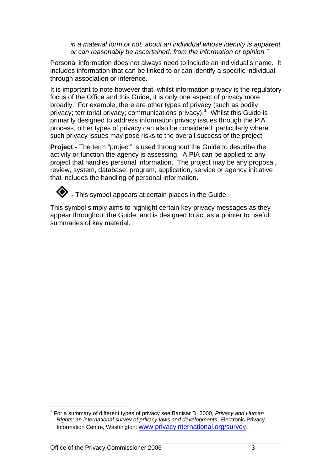*in a material form or not, about an individual whose identity is apparent, or can reasonably be ascertained, from the information or opinion."* 

Personal information does not always need to include an individual's name. It includes information that can be linked to or can identify a specific individual through association or inference.

It is important to note however that, whilst information privacy is the regulatory focus of the Office and this Guide, it is only one aspect of privacy more broadly. For example, there are other types of privacy (such as bodily privacy; territorial privacy; communications privacy).<sup>[1](#page-3-0)</sup> Whilst this Guide is primarily designed to address information privacy issues through the PIA process, other types of privacy can also be considered, particularly where such privacy issues may pose risks to the overall success of the project.

**Project - The term "project" is used throughout the Guide to describe the** activity or function the agency is assessing. A PIA can be applied to any project that handles personal information. The project may be any proposal, review, system, database, program, application, service or agency initiative that includes the handling of personal information.



**•** This symbol appears at certain places in the Guide.

This symbol simply aims to highlight certain key privacy messages as they appear throughout the Guide, and is designed to act as a pointer to useful summaries of key material.

<span id="page-3-0"></span> $\overline{a}$ 1 For a summary of different types of privacy see Banisar D, 2000, *Privacy and Human Rights: an international survey of privacy laws and developments*, Electronic Privacy Information Centre, Washington: [www.privacyinternational.org/survey](http://www.privacyinternational.org/survey/).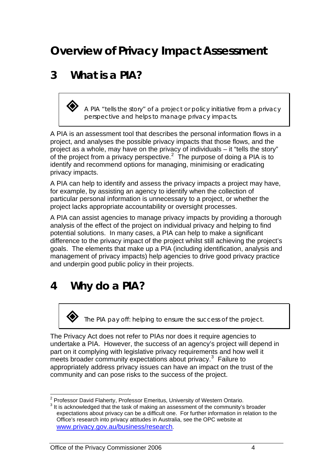## <span id="page-4-0"></span>**Overview of Privacy Impact Assessment**

### **3 What is a PIA?**

 *A PIA "tells the story" of a project or policy initiative from a privacy perspective and helps to manage privacy impacts.* 

A PIA is an assessment tool that describes the personal information flows in a project, and analyses the possible privacy impacts that those flows, and the project as a whole, may have on the privacy of individuals – it "tells the story" of the project from a privacy perspective.<sup>[2](#page-4-1)</sup> The purpose of doing a PIA is to identify and recommend options for managing, minimising or eradicating privacy impacts.

A PIA can help to identify and assess the privacy impacts a project may have, for example, by assisting an agency to identify when the collection of particular personal information is unnecessary to a project, or whether the project lacks appropriate accountability or oversight processes.

A PIA can assist agencies to manage privacy impacts by providing a thorough analysis of the effect of the project on individual privacy and helping to find potential solutions. In many cases, a PIA can help to make a significant difference to the privacy impact of the project whilst still achieving the project's goals. The elements that make up a PIA (including identification, analysis and management of privacy impacts) help agencies to drive good privacy practice and underpin good public policy in their projects.

### **4 Why do a PIA?**

*The PIA pay off: helping to ensure the success of the project.* 

The Privacy Act does not refer to PIAs nor does it require agencies to undertake a PIA. However, the success of an agency's project will depend in part on it complying with legislative privacy requirements and how well it meets broader community expectations about privacy.<sup>[3](#page-4-2)</sup> Failure to appropriately address privacy issues can have an impact on the trust of the community and can pose risks to the success of the project.

 $\overline{a}$ <sup>2</sup> Professor David Flaherty, Professor Emeritus, University of Western Ontario.<br><sup>3</sup> It is a classive data that the took of making an accessment of the community is

<span id="page-4-2"></span><span id="page-4-1"></span> $3$  It is acknowledged that the task of making an assessment of the community's broader expectations about privacy can be a difficult one. For further information in relation to the Office's research into privacy attitudes in Australia, see the OPC website at [www.privacy.gov.au/business/research.](http://www.privacy.gov.au/business/research)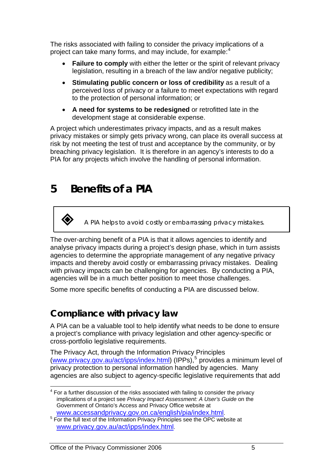<span id="page-5-0"></span>The risks associated with failing to consider the privacy implications of a project can take many forms, and may include, for example:<sup>[4](#page-5-1)</sup>

- **Failure to comply** with either the letter or the spirit of relevant privacy legislation, resulting in a breach of the law and/or negative publicity;
- **Stimulating public concern or loss of credibility** as a result of a perceived loss of privacy or a failure to meet expectations with regard to the protection of personal information; or
- **A need for systems to be redesigned** or retrofitted late in the development stage at considerable expense.

A project which underestimates privacy impacts, and as a result makes privacy mistakes or simply gets privacy wrong, can place its overall success at risk by not meeting the test of trust and acceptance by the community, or by breaching privacy legislation. It is therefore in an agency's interests to do a PIA for any projects which involve the handling of personal information.

## **5 Benefits of a PIA**

*A PIA helps to avoid costly or embarrassing privacy mistakes.* 

The over-arching benefit of a PIA is that it allows agencies to identify and analyse privacy impacts during a project's design phase, which in turn assists agencies to determine the appropriate management of any negative privacy impacts and thereby avoid costly or embarrassing privacy mistakes. Dealing with privacy impacts can be challenging for agencies. By conducting a PIA, agencies will be in a much better position to meet those challenges.

Some more specific benefits of conducting a PIA are discussed below.

### **Compliance with privacy law**

A PIA can be a valuable tool to help identify what needs to be done to ensure a project's compliance with privacy legislation and other agency-specific or cross-portfolio legislative requirements.

The Privacy Act, through the Information Privacy Principles ([www.privacy.gov.au/act/ipps/index.html](http://www.privacy.gov.au/act/ipps/index.html)) (IPPs),<sup>[5](#page-5-2)</sup> provides a minimum level of privacy protection to personal information handled by agencies. Many agencies are also subject to agency-specific legislative requirements that add

<span id="page-5-1"></span><sup>————————————————————&</sup>lt;br><sup>4</sup> For a further discussion of the risks associated with failing to consider the privacy implications of a project see *Privacy Impact Assessment: A User's Guide* on the Government of Ontario's Access and Privacy Office website at [www.accessandprivacy.gov.on.ca/english/pia/index.html](http://www.accessandprivacy.gov.on.ca/english/pia/index.html). <sup>5</sup>

<span id="page-5-2"></span><sup>&</sup>lt;sup>5</sup> For the full text of the Information Privacy Principles see the OPC website at [www.privacy.gov.au/act/ipps/index.html.](http://www.privacy.gov.au/act/ipps/index.html)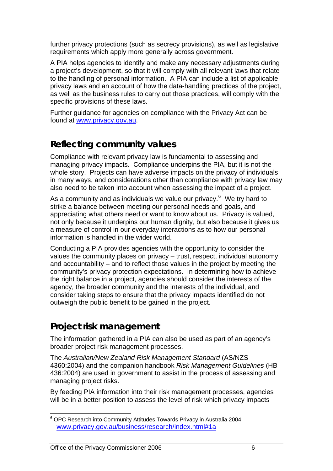further privacy protections (such as secrecy provisions), as well as legislative requirements which apply more generally across government.

A PIA helps agencies to identify and make any necessary adjustments during a project's development, so that it will comply with all relevant laws that relate to the handling of personal information. A PIA can include a list of applicable privacy laws and an account of how the data-handling practices of the project, as well as the business rules to carry out those practices, will comply with the specific provisions of these laws.

Further guidance for agencies on compliance with the Privacy Act can be found at [www.privacy.gov.au](http://www.privacy.gov.au/).

### **Reflecting community values**

Compliance with relevant privacy law is fundamental to assessing and managing privacy impacts. Compliance underpins the PIA, but it is not the whole story. Projects can have adverse impacts on the privacy of individuals in many ways, and considerations other than compliance with privacy law may also need to be taken into account when assessing the impact of a project.

As a community and as individuals we value our privacy. $6$  We try hard to strike a balance between meeting our personal needs and goals, and appreciating what others need or want to know about us. Privacy is valued, not only because it underpins our human dignity, but also because it gives us a measure of control in our everyday interactions as to how our personal information is handled in the wider world.

Conducting a PIA provides agencies with the opportunity to consider the values the community places on privacy – trust, respect, individual autonomy and accountability – and to reflect those values in the project by meeting the community's privacy protection expectations. In determining how to achieve the right balance in a project, agencies should consider the interests of the agency, the broader community and the interests of the individual, and consider taking steps to ensure that the privacy impacts identified do not outweigh the public benefit to be gained in the project.

### **Project risk management**

The information gathered in a PIA can also be used as part of an agency's broader project risk management processes.

The *Australian/New Zealand Risk Management Standard* (AS/NZS 4360:2004) and the companion handbook *Risk Management Guidelines* (HB 436:2004) are used in government to assist in the process of assessing and managing project risks.

By feeding PIA information into their risk management processes, agencies will be in a better position to assess the level of risk which privacy impacts

<span id="page-6-0"></span> $\overline{a}$ <sup>6</sup> OPC Research into Community Attitudes Towards Privacy in Australia 2004 [www.privacy.gov.au/business/research/index.html#1a](http://www.privacy.gov.au/business/research/index.html#1a)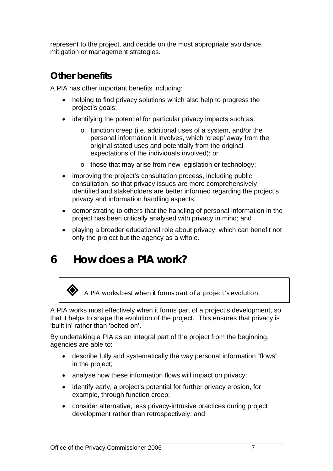<span id="page-7-0"></span>represent to the project, and decide on the most appropriate avoidance, mitigation or management strategies.

### **Other benefits**

A PIA has other important benefits including:

- helping to find privacy solutions which also help to progress the project's goals;
- identifying the potential for particular privacy impacts such as:
	- o function creep (i.e. additional uses of a system, and/or the personal information it involves, which 'creep' away from the original stated uses and potentially from the original expectations of the individuals involved); or
	- o those that may arise from new legislation or technology;
- improving the project's consultation process, including public consultation, so that privacy issues are more comprehensively identified and stakeholders are better informed regarding the project's privacy and information handling aspects;
- demonstrating to others that the handling of personal information in the project has been critically analysed with privacy in mind; and
- playing a broader educational role about privacy, which can benefit not only the project but the agency as a whole.

## **6 How does a PIA work?**

*A PIA works best when it forms part of a project's evolution.* 

A PIA works most effectively when it forms part of a project's development, so that it helps to shape the evolution of the project. This ensures that privacy is 'built in' rather than 'bolted on'.

By undertaking a PIA as an integral part of the project from the beginning, agencies are able to:

- describe fully and systematically the way personal information "flows" in the project;
- analyse how these information flows will impact on privacy;
- identify early, a project's potential for further privacy erosion, for example, through function creep;
- consider alternative, less privacy-intrusive practices during project development rather than retrospectively; and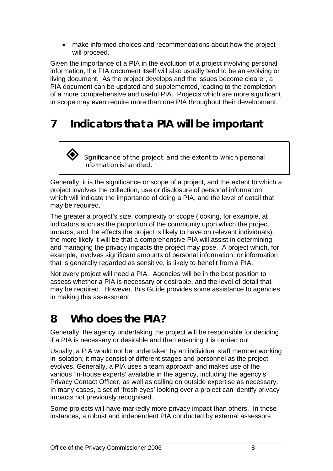<span id="page-8-0"></span>• make informed choices and recommendations about how the project will proceed.

Given the importance of a PIA in the evolution of a project involving personal information, the PIA document itself will also usually tend to be an evolving or living document. As the project develops and the issues become clearer, a PIA document can be updated and supplemented, leading to the completion of a more comprehensive and useful PIA. Projects which are more significant in scope may even require more than one PIA throughout their development.

## **7 Indicators that a PIA will be important**

 *Significance of the project, and the extent to which personal information is handled.* 

Generally, it is the significance or scope of a project, and the extent to which a project involves the collection, use or disclosure of personal information, which will indicate the importance of doing a PIA, and the level of detail that may be required.

The greater a project's size, complexity or scope (looking, for example, at indicators such as the proportion of the community upon which the project impacts, and the effects the project is likely to have on relevant individuals), the more likely it will be that a comprehensive PIA will assist in determining and managing the privacy impacts the project may pose. A project which, for example, involves significant amounts of personal information, or information that is generally regarded as sensitive, is likely to benefit from a PIA.

Not every project will need a PIA. Agencies will be in the best position to assess whether a PIA is necessary or desirable, and the level of detail that may be required. However, this Guide provides some assistance to agencies in making this assessment.

## **8 Who does the PIA?**

Generally, the agency undertaking the project will be responsible for deciding if a PIA is necessary or desirable and then ensuring it is carried out.

Usually, a PIA would not be undertaken by an individual staff member working in isolation; it may consist of different stages and personnel as the project evolves. Generally, a PIA uses a team approach and makes use of the various 'in-house experts' available in the agency, including the agency's Privacy Contact Officer, as well as calling on outside expertise as necessary. In many cases, a set of 'fresh eyes' looking over a project can identify privacy impacts not previously recognised.

Some projects will have markedly more privacy impact than others. In those instances, a robust and independent PIA conducted by external assessors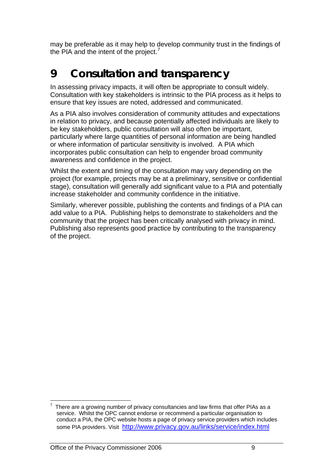<span id="page-9-0"></span>may be preferable as it may help to develop community trust in the findings of the PIA and the intent of the project.<sup>[7](#page-9-1)</sup>

## **9 Consultation and transparency**

In assessing privacy impacts, it will often be appropriate to consult widely. Consultation with key stakeholders is intrinsic to the PIA process as it helps to ensure that key issues are noted, addressed and communicated.

As a PIA also involves consideration of community attitudes and expectations in relation to privacy, and because potentially affected individuals are likely to be key stakeholders, public consultation will also often be important, particularly where large quantities of personal information are being handled or where information of particular sensitivity is involved. A PIA which incorporates public consultation can help to engender broad community awareness and confidence in the project.

Whilst the extent and timing of the consultation may vary depending on the project (for example, projects may be at a preliminary, sensitive or confidential stage), consultation will generally add significant value to a PIA and potentially increase stakeholder and community confidence in the initiative.

Similarly, wherever possible, publishing the contents and findings of a PIA can add value to a PIA. Publishing helps to demonstrate to stakeholders and the community that the project has been critically analysed with privacy in mind. Publishing also represents good practice by contributing to the transparency of the project.

<span id="page-9-1"></span> $\overline{a}$ 7 There are a growing number of privacy consultancies and law firms that offer PIAs as a service. Whilst the OPC cannot endorse or recommend a particular organisation to conduct a PIA, the OPC website hosts a page of privacy service providers which includes some PIA providers. Visit <http://www.privacy.gov.au/links/service/index.html>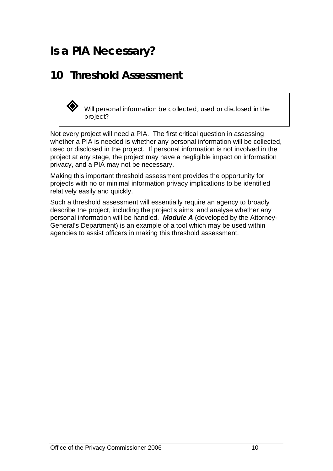## <span id="page-10-0"></span>**Is a PIA Necessary?**

### **10 Threshold Assessment**



 *Will personal information be collected, used or disclosed in the project?* 

Not every project will need a PIA. The first critical question in assessing whether a PIA is needed is whether any personal information will be collected, used or disclosed in the project. If personal information is not involved in the project at any stage, the project may have a negligible impact on information privacy, and a PIA may not be necessary.

Making this important threshold assessment provides the opportunity for projects with no or minimal information privacy implications to be identified relatively easily and quickly.

Such a threshold assessment will essentially require an agency to broadly describe the project, including the project's aims, and analyse whether any personal information will be handled. *Module A* (developed by the Attorney-General's Department) is an example of a tool which may be used within agencies to assist officers in making this threshold assessment.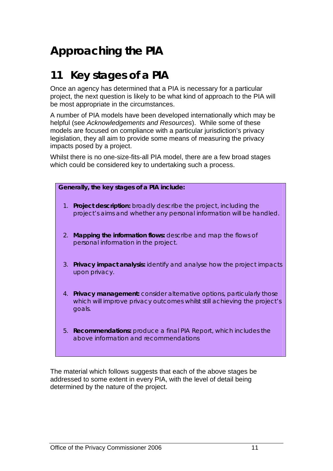## <span id="page-11-0"></span>**Approaching the PIA**

### **11 Key stages of a PIA**

Once an agency has determined that a PIA is necessary for a particular project, the next question is likely to be what kind of approach to the PIA will be most appropriate in the circumstances.

A number of PIA models have been developed internationally which may be helpful (see *Acknowledgements and Resources*). While some of these models are focused on compliance with a particular jurisdiction's privacy legislation, they all aim to provide some means of measuring the privacy impacts posed by a project.

Whilst there is no one-size-fits-all PIA model, there are a few broad stages which could be considered key to undertaking such a process.

| Generally, the key stages of a PIA include: |                                                                                                                                                               |  |
|---------------------------------------------|---------------------------------------------------------------------------------------------------------------------------------------------------------------|--|
|                                             | 1. Project description: broadly describe the project, including the<br>project's aims and whether any personal information will be handled.                   |  |
|                                             | 2. Mapping the information flows: describe and map the flows of<br>personal information in the project.                                                       |  |
|                                             | 3. Privacy impact analysis: identify and analyse how the project impacts<br>upon privacy.                                                                     |  |
|                                             | 4. Privacy management: consider alternative options, particularly those<br>which will improve privacy outcomes whilst still achieving the project's<br>goals. |  |
|                                             | 5. Recommendations: produce a final PIA Report, which includes the<br>above information and recommendations                                                   |  |

The material which follows suggests that each of the above stages be addressed to some extent in every PIA, with the level of detail being determined by the nature of the project.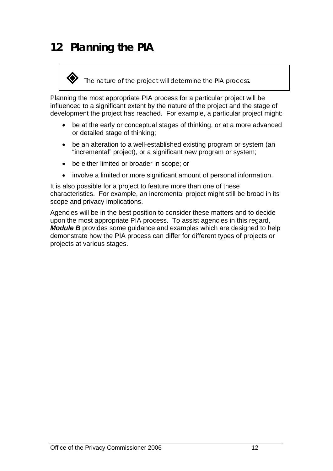## <span id="page-12-0"></span>**12 Planning the PIA**

#### *The nature of the project will determine the PIA process.*

Planning the most appropriate PIA process for a particular project will be influenced to a significant extent by the nature of the project and the stage of development the project has reached. For example, a particular project might:

- be at the early or conceptual stages of thinking, or at a more advanced or detailed stage of thinking;
- be an alteration to a well-established existing program or system (an "incremental" project), or a significant new program or system;
- be either limited or broader in scope; or
- involve a limited or more significant amount of personal information.

It is also possible for a project to feature more than one of these characteristics. For example, an incremental project might still be broad in its scope and privacy implications.

Agencies will be in the best position to consider these matters and to decide upon the most appropriate PIA process. To assist agencies in this regard, *Module B* provides some guidance and examples which are designed to help demonstrate how the PIA process can differ for different types of projects or projects at various stages.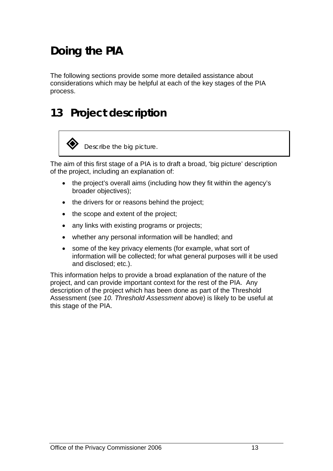## <span id="page-13-0"></span>**Doing the PIA**

The following sections provide some more detailed assistance about considerations which may be helpful at each of the key stages of the PIA process.

### **13 Project description**



The aim of this first stage of a PIA is to draft a broad, 'big picture' description of the project, including an explanation of:

- the project's overall aims (including how they fit within the agency's broader objectives);
- the drivers for or reasons behind the project;
- the scope and extent of the project;
- any links with existing programs or projects;
- whether any personal information will be handled; and
- some of the key privacy elements (for example, what sort of information will be collected; for what general purposes will it be used and disclosed; etc.).

This information helps to provide a broad explanation of the nature of the project, and can provide important context for the rest of the PIA. Any description of the project which has been done as part of the Threshold Assessment (see *10. Threshold Assessment* above) is likely to be useful at this stage of the PIA.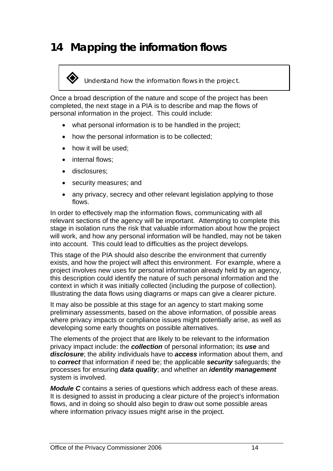## <span id="page-14-0"></span>**14 Mapping the information flows**

*Understand how the information flows in the project.* 

Once a broad description of the nature and scope of the project has been completed, the next stage in a PIA is to describe and map the flows of personal information in the project. This could include:

- what personal information is to be handled in the project;
- how the personal information is to be collected:
- how it will be used;
- internal flows:
- disclosures;
- security measures; and
- any privacy, secrecy and other relevant legislation applying to those flows.

In order to effectively map the information flows, communicating with all relevant sections of the agency will be important. Attempting to complete this stage in isolation runs the risk that valuable information about how the project will work, and how any personal information will be handled, may not be taken into account. This could lead to difficulties as the project develops.

This stage of the PIA should also describe the environment that currently exists, and how the project will affect this environment. For example, where a project involves new uses for personal information already held by an agency, this description could identify the nature of such personal information and the context in which it was initially collected (including the purpose of collection). Illustrating the data flows using diagrams or maps can give a clearer picture.

It may also be possible at this stage for an agency to start making some preliminary assessments, based on the above information, of possible areas where privacy impacts or compliance issues might potentially arise, as well as developing some early thoughts on possible alternatives.

The elements of the project that are likely to be relevant to the information privacy impact include: the *collection* of personal information; its *use* and *disclosure*; the ability individuals have to *access* information about them, and to *correct* that information if need be; the applicable *security* safeguards; the processes for ensuring *data quality*; and whether an *identity management*  system is involved.

*Module C* contains a series of questions which address each of these areas. It is designed to assist in producing a clear picture of the project's information flows, and in doing so should also begin to draw out some possible areas where information privacy issues might arise in the project.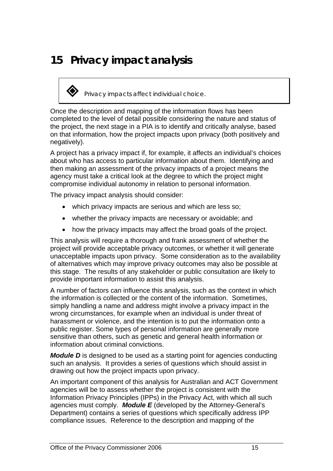## <span id="page-15-0"></span>**15 Privacy impact analysis**

*Privacy impacts affect individual choice.* 

Once the description and mapping of the information flows has been completed to the level of detail possible considering the nature and status of the project, the next stage in a PIA is to identify and critically analyse, based on that information, how the project impacts upon privacy (both positively and negatively).

A project has a privacy impact if, for example, it affects an individual's choices about who has access to particular information about them. Identifying and then making an assessment of the privacy impacts of a project means the agency must take a critical look at the degree to which the project might compromise individual autonomy in relation to personal information.

The privacy impact analysis should consider:

- which privacy impacts are serious and which are less so;
- whether the privacy impacts are necessary or avoidable; and
- how the privacy impacts may affect the broad goals of the project.

This analysis will require a thorough and frank assessment of whether the project will provide acceptable privacy outcomes, or whether it will generate unacceptable impacts upon privacy. Some consideration as to the availability of alternatives which may improve privacy outcomes may also be possible at this stage. The results of any stakeholder or public consultation are likely to provide important information to assist this analysis.

A number of factors can influence this analysis, such as the context in which the information is collected or the content of the information. Sometimes, simply handling a name and address might involve a privacy impact in the wrong circumstances, for example when an individual is under threat of harassment or violence, and the intention is to put the information onto a public register. Some types of personal information are generally more sensitive than others, such as genetic and general health information or information about criminal convictions.

*Module D* is designed to be used as a starting point for agencies conducting such an analysis. It provides a series of questions which should assist in drawing out how the project impacts upon privacy.

An important component of this analysis for Australian and ACT Government agencies will be to assess whether the project is consistent with the Information Privacy Principles (IPPs) in the Privacy Act, with which all such agencies must comply. *Module E* (developed by the Attorney-General's Department) contains a series of questions which specifically address IPP compliance issues. Reference to the description and mapping of the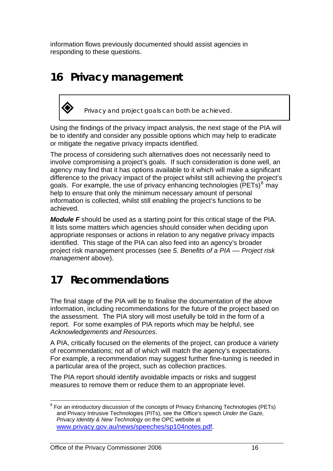<span id="page-16-0"></span>information flows previously documented should assist agencies in responding to these questions.

## **16 Privacy management**



*Privacy and project goals can both be achieved.* 

Using the findings of the privacy impact analysis, the next stage of the PIA will be to identify and consider any possible options which may help to eradicate or mitigate the negative privacy impacts identified.

The process of considering such alternatives does not necessarily need to involve compromising a project's goals. If such consideration is done well, an agency may find that it has options available to it which will make a significant difference to the privacy impact of the project whilst still achieving the project's goals. For example, the use of privacy enhancing technologies (PETs) $8 \text{ may}$  $8 \text{ may}$ help to ensure that only the minimum necessary amount of personal information is collected, whilst still enabling the project's functions to be achieved.

*Module F* should be used as a starting point for this critical stage of the PIA. It lists some matters which agencies should consider when deciding upon appropriate responses or actions in relation to any negative privacy impacts identified. This stage of the PIA can also feed into an agency's broader project risk management processes (see *5. Benefits of a PIA –– Project risk management* above).

### **17 Recommendations**

The final stage of the PIA will be to finalise the documentation of the above information, including recommendations for the future of the project based on the assessment. The PIA story will most usefully be told in the form of a report. For some examples of PIA reports which may be helpful, see *Acknowledgements and Resources*.

A PIA, critically focused on the elements of the project, can produce a variety of recommendations; not all of which will match the agency's expectations. For example, a recommendation may suggest further fine-tuning is needed in a particular area of the project, such as collection practices.

The PIA report should identify avoidable impacts or risks and suggest measures to remove them or reduce them to an appropriate level.

<span id="page-16-1"></span> $\overline{a}$ <sup>8</sup> For an introductory discussion of the concepts of Privacy Enhancing Technologies (PETs) and Privacy Intrusive Technologies (PITs), see the Office's speech *Under the Gaze, Privacy Identity & New Technology* on the OPC website at [www.privacy.gov.au/news/speeches/sp104notes.pdf](http://www.privacy.gov.au/news/speeches/sp104notes.pdf).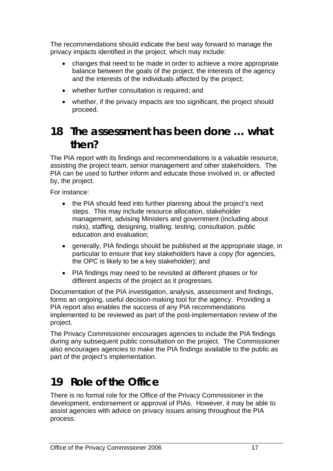<span id="page-17-0"></span>The recommendations should indicate the best way forward to manage the privacy impacts identified in the project, which may include:

- changes that need to be made in order to achieve a more appropriate balance between the goals of the project, the interests of the agency and the interests of the individuals affected by the project;
- whether further consultation is required; and
- whether, if the privacy impacts are too significant, the project should proceed.

### **18 The assessment has been done … what then?**

The PIA report with its findings and recommendations is a valuable resource, assisting the project team, senior management and other stakeholders. The PIA can be used to further inform and educate those involved in, or affected by, the project.

For instance:

- the PIA should feed into further planning about the project's next steps. This may include resource allocation, stakeholder management, advising Ministers and government (including about risks), staffing, designing, trialling, testing, consultation, public education and evaluation;
- generally, PIA findings should be published at the appropriate stage, in particular to ensure that key stakeholders have a copy (for agencies, the OPC is likely to be a key stakeholder); and
- PIA findings may need to be revisited at different phases or for different aspects of the project as it progresses.

Documentation of the PIA investigation, analysis, assessment and findings, forms an ongoing, useful decision-making tool for the agency. Providing a PIA report also enables the success of any PIA recommendations implemented to be reviewed as part of the post-implementation review of the project.

The Privacy Commissioner encourages agencies to include the PIA findings during any subsequent public consultation on the project. The Commissioner also encourages agencies to make the PIA findings available to the public as part of the project's implementation.

## **19 Role of the Office**

There is no formal role for the Office of the Privacy Commissioner in the development, endorsement or approval of PIAs. However, it may be able to assist agencies with advice on privacy issues arising throughout the PIA process.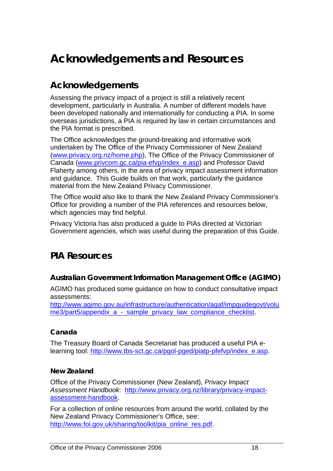## <span id="page-18-0"></span>**Acknowledgements and Resources**

### **Acknowledgements**

Assessing the privacy impact of a project is still a relatively recent development, particularly in Australia. A number of different models have been developed nationally and internationally for conducting a PIA. In some overseas jurisdictions, a PIA is required by law in certain circumstances and the PIA format is prescribed.

The Office acknowledges the ground-breaking and informative work undertaken by The Office of the Privacy Commissioner of New Zealand ([www.privacy.org.nz/home.php\)](http://www.privacy.org.nz/home.php), The Office of the Privacy Commissioner of Canada [\(www.privcom.gc.ca/pia-efvp/index\\_e.asp\)](http://www.privcom.gc.ca/pia-efvp/index_e.asp) and Professor David Flaherty among others, in the area of privacy impact assessment information and guidance. This Guide builds on that work, particularly the guidance material from the New Zealand Privacy Commissioner.

The Office would also like to thank the New Zealand Privacy Commissioner's Office for providing a number of the PIA references and resources below, which agencies may find helpful.

Privacy Victoria has also produced a guide to PIAs directed at Victorian Government agencies, which was useful during the preparation of this Guide.

### **PIA Resources**

#### **Australian Government Information Management Office (AGIMO)**

AGIMO has produced some guidance on how to conduct consultative impact assessments:

[http://www.agimo.gov.au/infrastructure/authentication/agaf/impguidegovt/volu](http://www.agimo.gov.au/infrastructure/authentication/agaf/impguidegovt/volume3/part5/appendix_a_-_sample_privacy_law_compliance_checklist) me3/part5/appendix a - sample privacy law compliance checklist.

#### **Canada**

The Treasury Board of Canada Secretariat has produced a useful PIA elearning tool: [http://www.tbs-sct.gc.ca/pgol-pged/piatp-pfefvp/index\\_e.asp](http://www.tbs-sct.gc.ca/pgol-pged/piatp-pfefvp/index_e.asp).

#### **New Zealand**

Office of the Privacy Commissioner (New Zealand), *Privacy Impact Assessment Handbook*: [http://www.privacy.org.nz/library/privacy-impact](http://www.privacy.org.nz/library/privacy-impact-assessment-handbook)[assessment-handbook.](http://www.privacy.org.nz/library/privacy-impact-assessment-handbook)

For a collection of online resources from around the world, collated by the New Zealand Privacy Commissioner's Office, see: [http://www.foi.gov.uk/sharing/toolkit/pia\\_online\\_res.pdf](http://www.foi.gov.uk/sharing/toolkit/pia_online_res.pdf).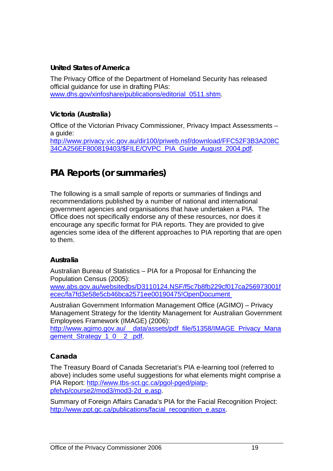#### **United States of America**

The Privacy Office of the Department of Homeland Security has released official guidance for use in drafting PIAs: [www.dhs.gov/xinfoshare/publications/editorial\\_0511.shtm.](http://www.dhs.gov/xinfoshare/publications/editorial_0511.shtm)

#### **Victoria (Australia)**

Office of the Victorian Privacy Commissioner, Privacy Impact Assessments – a guide: [http://www.privacy.vic.gov.au/dir100/priweb.nsf/download/FFC52F3B3A208C](http://www.privacy.vic.gov.au/dir100/priweb.nsf/download/FFC52F3B3A208C34CA256EF800819403/$FILE/OVPC_PIA_Guide_August_2004.pdf) [34CA256EF800819403/\\$FILE/OVPC\\_PIA\\_Guide\\_August\\_2004.pdf](http://www.privacy.vic.gov.au/dir100/priweb.nsf/download/FFC52F3B3A208C34CA256EF800819403/$FILE/OVPC_PIA_Guide_August_2004.pdf).

### **PIA Reports (or summaries)**

The following is a small sample of reports or summaries of findings and recommendations published by a number of national and international government agencies and organisations that have undertaken a PIA. The Office does not specifically endorse any of these resources, nor does it encourage any specific format for PIA reports. They are provided to give agencies some idea of the different approaches to PIA reporting that are open to them.

#### **Australia**

Australian Bureau of Statistics – PIA for a Proposal for Enhancing the Population Census (2005):

www.abs.gov.au/websitedbs/D3110124.NSF/f5c7b8fb229cf017ca256973001f ecec/fa7fd3e58e5cb46bca2571ee00190475!OpenDocument

Australian Government Information Management Office (AGIMO) – Privacy Management Strategy for the Identity Management for Australian Government Employees Framework (IMAGE) (2006):

http://www.agimo.gov.au/ data/assets/pdf file/51358/IMAGE\_Privacy\_Mana [gement\\_Strategy\\_1\\_0\\_\\_2\\_.pdf.](http://www.agimo.gov.au/__data/assets/pdf_file/51358/IMAGE_Privacy_Management_Strategy_1_0__2_.pdf)

#### **Canada**

The Treasury Board of Canada Secretariat's PIA e-learning tool (referred to above) includes some useful suggestions for what elements might comprise a PIA Report: [http://www.tbs-sct.gc.ca/pgol-pged/piatp](http://www.tbs-sct.gc.ca/pgol-pged/piatp-pfefvp/course2/mod3/mod3-2d_e.asp)[pfefvp/course2/mod3/mod3-2d\\_e.asp.](http://www.tbs-sct.gc.ca/pgol-pged/piatp-pfefvp/course2/mod3/mod3-2d_e.asp)

Summary of Foreign Affairs Canada's PIA for the Facial Recognition Project: [http://www.ppt.gc.ca/publications/facial\\_recognition\\_e.aspx](http://www.ppt.gc.ca/publications/facial_recognition_e.aspx).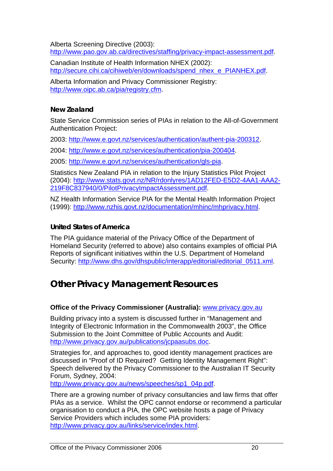Alberta Screening Directive (2003): <http://www.pao.gov.ab.ca/directives/staffing/privacy-impact-assessment.pdf>.

Canadian Institute of Health Information NHEX (2002): [http://secure.cihi.ca/cihiweb/en/downloads/spend\\_nhex\\_e\\_PIANHEX.pdf](http://secure.cihi.ca/cihiweb/en/downloads/spend_nhex_e_PIANHEX.pdf).

Alberta Information and Privacy Commissioner Registry: [http://www.oipc.ab.ca/pia/registry.cfm.](http://www.oipc.ab.ca/pia/registry.cfm)

#### **New Zealand**

State Service Commission series of PIAs in relation to the All-of-Government Authentication Project:

2003:<http://www.e.govt.nz/services/authentication/authent-pia-200312>.

2004:<http://www.e.govt.nz/services/authentication/pia-200404>.

2005:<http://www.e.govt.nz/services/authentication/gls-pia>.

Statistics New Zealand PIA in relation to the Injury Statistics Pilot Project (2004): [http://www.stats.govt.nz/NR/rdonlyres/1AD12FED-E5D2-4AA1-AAA2-](http://www.stats.govt.nz/NR/rdonlyres/1AD12FED-E5D2-4AA1-AAA2-219F8C837940/0/PilotPrivacyImpactAssessment.pdf) [219F8C837940/0/PilotPrivacyImpactAssessment.pdf](http://www.stats.govt.nz/NR/rdonlyres/1AD12FED-E5D2-4AA1-AAA2-219F8C837940/0/PilotPrivacyImpactAssessment.pdf).

NZ Health Information Service PIA for the Mental Health Information Project (1999):<http://www.nzhis.govt.nz/documentation/mhinc/mhprivacy.html>.

#### **United States of America**

The PIA guidance material of the Privacy Office of the Department of Homeland Security (referred to above) also contains examples of official PIA Reports of significant initiatives within the U.S. Department of Homeland Security: [http://www.dhs.gov/dhspublic/interapp/editorial/editorial\\_0511.xml.](http://www.dhs.gov/dhspublic/interapp/editorial/editorial_0511.xml)

### **Other Privacy Management Resources**

#### **Office of the Privacy Commissioner (Australia):** www.privacy.gov.au

Building privacy into a system is discussed further in "Management and Integrity of Electronic Information in the Commonwealth 2003", the Office Submission to the Joint Committee of Public Accounts and Audit: <http://www.privacy.gov.au/publications/jcpaasubs.doc>.

Strategies for, and approaches to, good identity management practices are discussed in "Proof of ID Required? Getting Identity Management Right": Speech delivered by the Privacy Commissioner to the Australian IT Security Forum, Sydney, 2004:

[http://www.privacy.gov.au/news/speeches/sp1\\_04p.pdf.](http://www.privacy.gov.au/news/speeches/sp1_04p.pdf)

There are a growing number of privacy consultancies and law firms that offer PIAs as a service. Whilst the OPC cannot endorse or recommend a particular organisation to conduct a PIA, the OPC website hosts a page of Privacy Service Providers which includes some PIA providers: <http://www.privacy.gov.au/links/service/index.html>.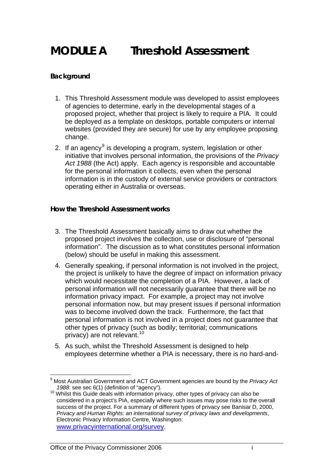## <span id="page-21-0"></span>**MODULE A Threshold Assessment**

#### **Background**

- 1. This Threshold Assessment module was developed to assist employees of agencies to determine, early in the developmental stages of a proposed project, whether that project is likely to require a PIA. It could be deployed as a template on desktops, portable computers or internal websites (provided they are secure) for use by any employee proposing change.
- 2. If an agency<sup>[9](#page-21-1)</sup> is developing a program, system, legislation or other initiative that involves personal information, the provisions of the *Privacy Act 1988* (the Act) apply. Each agency is responsible and accountable for the personal information it collects, even when the personal information is in the custody of external service providers or contractors operating either in Australia or overseas.

#### **How the Threshold Assessment works**

- 3. The Threshold Assessment basically aims to draw out whether the proposed project involves the collection, use or disclosure of "personal information". The discussion as to what constitutes personal information (below) should be useful in making this assessment.
- 4. Generally speaking, if personal information is not involved in the project, the project is unlikely to have the degree of impact on information privacy which would necessitate the completion of a PIA. However, a lack of personal information will not necessarily guarantee that there will be no information privacy impact. For example, a project may not involve personal information now, but may present issues if personal information was to become involved down the track. Furthermore, the fact that personal information is not involved in a project does not guarantee that other types of privacy (such as bodily; territorial; communications privacy) are not relevant.<sup>[10](#page-21-2)</sup>
- 5. As such, whilst the Threshold Assessment is designed to help employees determine whether a PIA is necessary, there is no hard-and-

 $\overline{\phantom{a}}$ <sup>9</sup> Most Australian Government and ACT Government agencies are bound by the *Privacy Act* 

<span id="page-21-2"></span><span id="page-21-1"></span>*<sup>1988</sup>*: see sec 6(1) (definition of "agency").<br><sup>10</sup> Whilst this Guide deals with information privacy, other types of privacy can also be considered in a project's PIA, especially where such issues may pose risks to the overall success of the project. For a summary of different types of privacy see Banisar D, 2000, *Privacy and Human Rights: an international survey of privacy laws and developments*, Electronic Privacy Information Centre, Washington: [www.privacyinternational.org/survey](http://www.privacyinternational.org/survey/).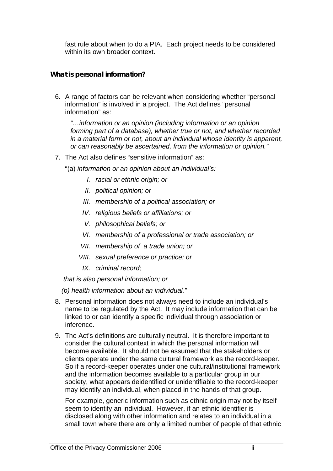fast rule about when to do a PIA. Each project needs to be considered within its own broader context.

#### **What is personal information?**

6. A range of factors can be relevant when considering whether "personal information" is involved in a project. The Act defines "personal information" as:

*"…information or an opinion (including information or an opinion forming part of a database), whether true or not, and whether recorded in a material form or not, about an individual whose identity is apparent, or can reasonably be ascertained, from the information or opinion."* 

- 7. The Act also defines "sensitive information" as:
	- "(a) *information or an opinion about an individual's:*
		- *I. racial or ethnic origin; or*
		- *II. political opinion; or*
		- *III. membership of a political association; or*
		- *IV. religious beliefs or affiliations; or*
		- *V. philosophical beliefs; or*
		- *VI. membership of a professional or trade association; or*
		- *VII. membership of a trade union; or*
		- *VIII. sexual preference or practice; or*
		- *IX. criminal record;*

 *that is also personal information; or* 

 *(b) health information about an individual."* 

- 8. Personal information does not always need to include an individual's name to be regulated by the Act. It may include information that can be linked to or can identify a specific individual through association or inference.
- 9. The Act's definitions are culturally neutral. It is therefore important to consider the cultural context in which the personal information will become available. It should not be assumed that the stakeholders or clients operate under the same cultural framework as the record-keeper. So if a record-keeper operates under one cultural/institutional framework and the information becomes available to a particular group in our society, what appears deidentified or unidentifiable to the record-keeper may identify an individual, when placed in the hands of that group.

For example, generic information such as ethnic origin may not by itself seem to identify an individual. However, if an ethnic identifier is disclosed along with other information and relates to an individual in a small town where there are only a limited number of people of that ethnic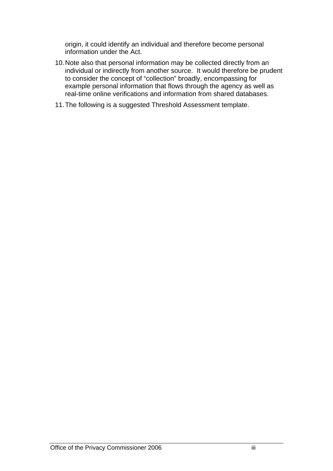origin, it could identify an individual and therefore become personal information under the Act.

- 10. Note also that personal information may be collected directly from an individual or indirectly from another source. It would therefore be prudent to consider the concept of "collection" broadly, encompassing for example personal information that flows through the agency as well as real-time online verifications and information from shared databases.
- 11. The following is a suggested Threshold Assessment template.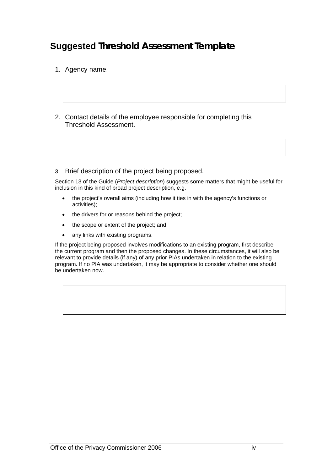### **Suggested Threshold Assessment Template**

- 1. Agency name.
- 2. Contact details of the employee responsible for completing this Threshold Assessment.
- 3. Brief description of the project being proposed.

Section 13 of the Guide (*Project description*) suggests some matters that might be useful for inclusion in this kind of broad project description, e.g.

- the project's overall aims (including how it ties in with the agency's functions or activities);
- the drivers for or reasons behind the project;
- the scope or extent of the project; and
- any links with existing programs.

If the project being proposed involves modifications to an existing program, first describe the current program and then the proposed changes. In these circumstances, it will also be relevant to provide details (if any) of any prior PIAs undertaken in relation to the existing program. If no PIA was undertaken, it may be appropriate to consider whether one should be undertaken now.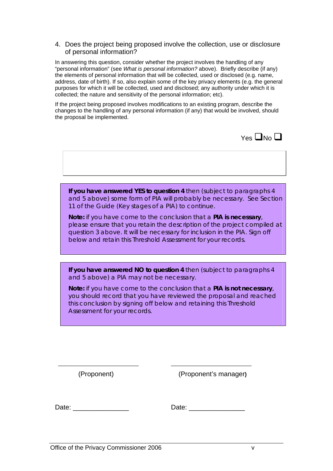#### 4. Does the project being proposed involve the collection, use or disclosure of personal information?

In answering this question, consider whether the project involves the handling of any "personal information" (see *What is personal information?* above). Briefly describe (if any) the elements of personal information that will be collected, used or disclosed (e.g. name, address, date of birth). If so, also explain some of the key privacy elements (e.g. the general purposes for which it will be collected, used and disclosed; any authority under which it is collected; the nature and sensitivity of the personal information; etc).

If the project being proposed involves modifications to an existing program, describe the changes to the handling of any personal information (if any) that would be involved, should the proposal be implemented.



**If you have answered YES to question 4** then (subject to paragraphs 4 and 5 above) some form of PIA will probably be necessary. See Section 11 of the Guide (Key stages of a PIA) to continue.

*Note: if you have come to the conclusion that a PIA is necessary, please ensure that you retain the description of the project compiled at question 3 above. It will be necessary for inclusion in the PIA. Sign off below and retain this Threshold Assessment for your records.*

**If you have answered NO to question 4** then (subject to paragraphs 4 and 5 above) a PIA may not be necessary.

*Note: if you have come to the conclusion that a PIA is not necessary, you should record that you have reviewed the proposal and reached this conclusion by signing off below and retaining this Threshold Assessment for your records.*

\_\_\_\_\_\_\_\_\_\_\_\_\_\_\_\_\_\_\_\_\_\_\_\_ \_\_\_\_\_\_\_\_\_\_\_\_\_\_\_\_\_\_\_\_\_\_\_\_

(Proponent) (Proponent's manager**)** 

Date: \_\_\_\_\_\_\_\_\_\_\_\_\_\_\_ Date: \_\_\_\_\_\_\_\_\_\_\_\_\_\_\_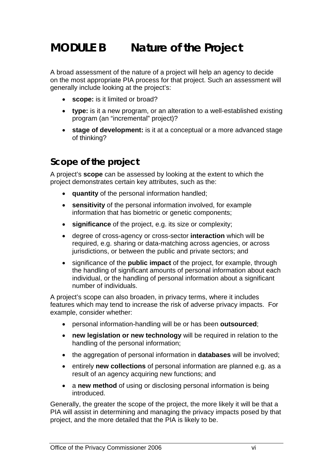## <span id="page-26-0"></span>**MODULE B Nature of the Project**

A broad assessment of the nature of a project will help an agency to decide on the most appropriate PIA process for that project. Such an assessment will generally include looking at the project's:

- **scope:** is it limited or broad?
- **type:** is it a new program, or an alteration to a well-established existing program (an "incremental" project)?
- **stage of development:** is it at a conceptual or a more advanced stage of thinking?

### **Scope of the project**

A project's **scope** can be assessed by looking at the extent to which the project demonstrates certain key attributes, such as the:

- **quantity** of the personal information handled;
- **sensitivity** of the personal information involved, for example information that has biometric or genetic components;
- **significance** of the project, e.g. its size or complexity;
- degree of cross-agency or cross-sector **interaction** which will be required, e.g. sharing or data-matching across agencies, or across jurisdictions, or between the public and private sectors; and
- significance of the **public impact** of the project, for example, through the handling of significant amounts of personal information about each individual, or the handling of personal information about a significant number of individuals.

A project's scope can also broaden, in privacy terms, where it includes features which may tend to increase the risk of adverse privacy impacts. For example, consider whether:

- personal information-handling will be or has been **outsourced**;
- **new legislation or new technology** will be required in relation to the handling of the personal information;
- the aggregation of personal information in **databases** will be involved;
- entirely **new collections** of personal information are planned e.g. as a result of an agency acquiring new functions; and
- a **new method** of using or disclosing personal information is being introduced.

Generally, the greater the scope of the project, the more likely it will be that a PIA will assist in determining and managing the privacy impacts posed by that project, and the more detailed that the PIA is likely to be.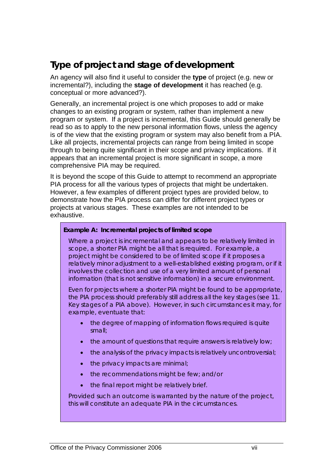### **Type of project and stage of development**

An agency will also find it useful to consider the **type** of project (e.g. new or incremental?), including the **stage of development** it has reached (e.g. conceptual or more advanced?).

Generally, an incremental project is one which proposes to add or make changes to an existing program or system, rather than implement a new program or system. If a project is incremental, this Guide should generally be read so as to apply to the new personal information flows, unless the agency is of the view that the existing program or system may also benefit from a PIA. Like all projects, incremental projects can range from being limited in scope through to being quite significant in their scope and privacy implications. If it appears that an incremental project is more significant in scope, a more comprehensive PIA may be required.

It is beyond the scope of this Guide to attempt to recommend an appropriate PIA process for all the various types of projects that might be undertaken. However, a few examples of different project types are provided below, to demonstrate how the PIA process can differ for different project types or projects at various stages. These examples are not intended to be exhaustive.

#### **Example A: Incremental projects of limited scope**

Where a project is incremental and appears to be relatively limited in scope, a shorter PIA might be all that is required. For example, a project might be considered to be of limited scope if it proposes a relatively minor adjustment to a well-established existing program, or if it involves the collection and use of a very limited amount of personal information (that is not sensitive information) in a secure environment.

Even for projects where a shorter PIA might be found to be appropriate, the PIA process should preferably still address all the key stages (see *11. Key stages of a PIA* above). However, in such circumstances it may, for example, eventuate that:

- the degree of mapping of information flows required is quite small;
- the amount of questions that require answers is relatively low;
- the analysis of the privacy impacts is relatively uncontroversial:
- the privacy impacts are minimal;
- the recommendations might be few; and/or
- the final report might be relatively brief.

Provided such an outcome is warranted by the nature of the project, this will constitute an adequate PIA in the circumstances.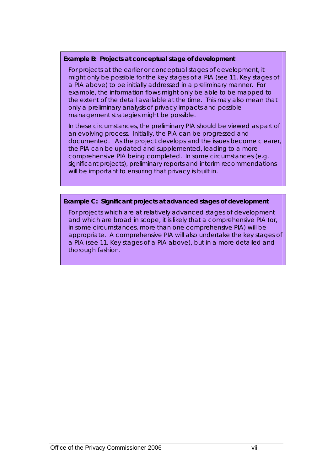#### **Example B: Projects at conceptual stage of development**

For projects at the earlier or conceptual stages of development, it might only be possible for the key stages of a PIA (see *11. Key stages of a PIA* above) to be initially addressed in a preliminary manner. For example, the information flows might only be able to be mapped to the extent of the detail available at the time. This may also mean that only a preliminary analysis of privacy impacts and possible management strategies might be possible.

In these circumstances, the preliminary PIA should be viewed as part of an evolving process. Initially, the PIA can be progressed and documented. As the project develops and the issues become clearer, the PIA can be updated and supplemented, leading to a more comprehensive PIA being completed. In some circumstances (e.g. significant projects), preliminary reports and interim recommendations will be important to ensuring that privacy is built in.

#### **Example C: Significant projects at advanced stages of development**

For projects which are at relatively advanced stages of development and which are broad in scope, it is likely that a comprehensive PIA (or, in some circumstances, more than one comprehensive PIA) will be appropriate. A comprehensive PIA will also undertake the key stages of a PIA (see *11. Key stages of a PIA* above), but in a more detailed and thorough fashion.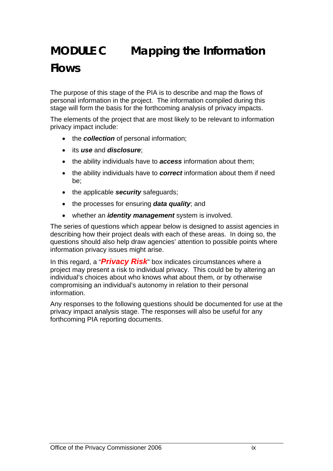# <span id="page-29-0"></span>**MODULE C Mapping the Information Flows**

The purpose of this stage of the PIA is to describe and map the flows of personal information in the project. The information compiled during this stage will form the basis for the forthcoming analysis of privacy impacts.

The elements of the project that are most likely to be relevant to information privacy impact include:

- the *collection* of personal information;
- its *use* and *disclosure*;
- the ability individuals have to *access* information about them;
- the ability individuals have to **correct** information about them if need be;
- the applicable *security* safeguards;
- the processes for ensuring *data quality*; and
- whether an *identity management* system is involved.

The series of questions which appear below is designed to assist agencies in describing how their project deals with each of these areas. In doing so, the questions should also help draw agencies' attention to possible points where information privacy issues might arise.

In this regard, a "*Privacy Risk*" box indicates circumstances where a project may present a risk to individual privacy. This could be by altering an individual's choices about who knows what about them, or by otherwise compromising an individual's autonomy in relation to their personal information.

Any responses to the following questions should be documented for use at the privacy impact analysis stage. The responses will also be useful for any forthcoming PIA reporting documents.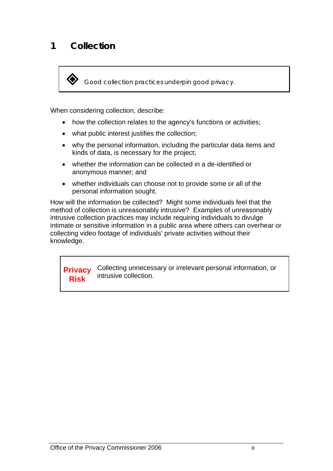*Good collection practices underpin good privacy.* 

When considering collection, describe:

- how the collection relates to the agency's functions or activities;
- what public interest justifies the collection;
- why the personal information, including the particular data items and kinds of data, is necessary for the project;
- whether the information can be collected in a de-identified or anonymous manner; and
- whether individuals can choose not to provide some or all of the personal information sought.

How will the information be collected? Might some individuals feel that the method of collection is unreasonably intrusive? Examples of unreasonably intrusive collection practices may include requiring individuals to divulge intimate or sensitive information in a public area where others can overhear or collecting video footage of individuals' private activities without their knowledge.

**Privacy Risk**  Collecting unnecessary or irrelevant personal information, or intrusive collection.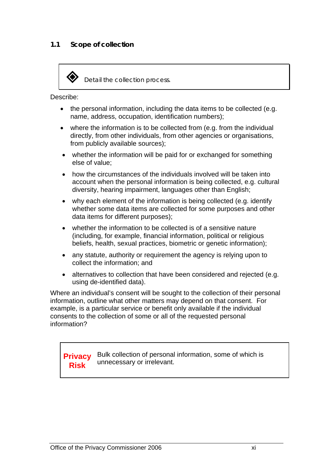

*Detail the collection process.* 

Describe:

- the personal information, including the data items to be collected (e.g. name, address, occupation, identification numbers);
- where the information is to be collected from (e.g. from the individual directly, from other individuals, from other agencies or organisations, from publicly available sources);
- whether the information will be paid for or exchanged for something else of value;
- how the circumstances of the individuals involved will be taken into account when the personal information is being collected, e.g. cultural diversity, hearing impairment, languages other than English;
- why each element of the information is being collected (e.g. identify whether some data items are collected for some purposes and other data items for different purposes);
- whether the information to be collected is of a sensitive nature (including, for example, financial information, political or religious beliefs, health, sexual practices, biometric or genetic information);
- any statute, authority or requirement the agency is relying upon to collect the information; and
- alternatives to collection that have been considered and rejected (e.g. using de-identified data).

Where an individual's consent will be sought to the collection of their personal information, outline what other matters may depend on that consent. For example, is a particular service or benefit only available if the individual consents to the collection of some or all of the requested personal information?

**Privacy Risk**  Bulk collection of personal information, some of which is unnecessary or irrelevant.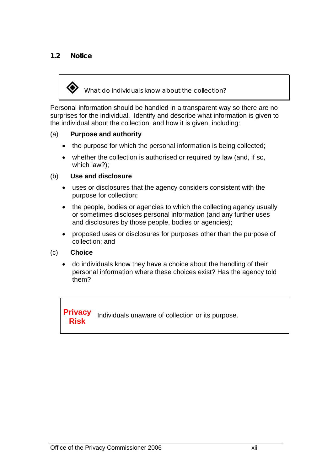#### **1.2 Notice**

*What do individuals know about the collection?* 

Personal information should be handled in a transparent way so there are no surprises for the individual. Identify and describe what information is given to the individual about the collection, and how it is given, including:

#### (a) **Purpose and authority**

- the purpose for which the personal information is being collected;
- whether the collection is authorised or required by law (and, if so, which law?);

#### (b) **Use and disclosure**

- uses or disclosures that the agency considers consistent with the purpose for collection;
- the people, bodies or agencies to which the collecting agency usually or sometimes discloses personal information (and any further uses and disclosures by those people, bodies or agencies);
- proposed uses or disclosures for purposes other than the purpose of collection; and

#### (c) **Choice**

• do individuals know they have a choice about the handling of their personal information where these choices exist? Has the agency told them?

**Privacy Risk**  Individuals unaware of collection or its purpose.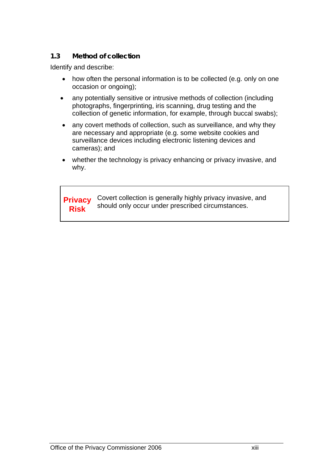#### **1.3 Method of collection**

Identify and describe:

- how often the personal information is to be collected (e.g. only on one occasion or ongoing);
- any potentially sensitive or intrusive methods of collection (including photographs, fingerprinting, iris scanning, drug testing and the collection of genetic information, for example, through buccal swabs);
- any covert methods of collection, such as surveillance, and why they are necessary and appropriate (e.g. some website cookies and surveillance devices including electronic listening devices and cameras); and
- whether the technology is privacy enhancing or privacy invasive, and why.

**Privacy Risk**  Covert collection is generally highly privacy invasive, and should only occur under prescribed circumstances.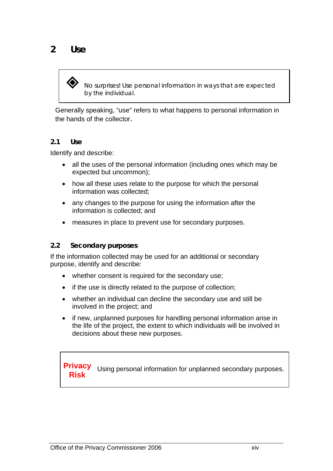

 *No surprises! Use personal information in ways that are expected by the individual.* 

Generally speaking, "use" refers to what happens to personal information in the hands of the collector.

#### **2.1 Use**

Identify and describe:

- all the uses of the personal information (including ones which may be expected but uncommon);
- how all these uses relate to the purpose for which the personal information was collected;
- any changes to the purpose for using the information after the information is collected; and
- measures in place to prevent use for secondary purposes.

#### **2.2 Secondary purposes**

If the information collected may be used for an additional or secondary purpose, identify and describe:

- whether consent is required for the secondary use;
- if the use is directly related to the purpose of collection:
- whether an individual can decline the secondary use and still be involved in the project; and
- if new, unplanned purposes for handling personal information arise in the life of the project, the extent to which individuals will be involved in decisions about these new purposes.

**Privacy RIVACY** Using personal information for unplanned secondary purposes.<br>Risk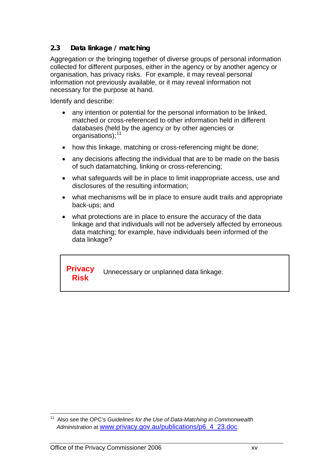#### **2.3 Data linkage / matching**

Aggregation or the bringing together of diverse groups of personal information collected for different purposes, either in the agency or by another agency or organisation, has privacy risks. For example, it may reveal personal information not previously available, or it may reveal information not necessary for the purpose at hand.

Identify and describe:

- any intention or potential for the personal information to be linked, matched or cross-referenced to other information held in different databases (held by the agency or by other agencies or organisations);<sup>[11](#page-35-0)</sup>
- how this linkage, matching or cross-referencing might be done;
- any decisions affecting the individual that are to be made on the basis of such datamatching, linking or cross-referencing;
- what safeguards will be in place to limit inappropriate access, use and disclosures of the resulting information;
- what mechanisms will be in place to ensure audit trails and appropriate back-ups; and
- what protections are in place to ensure the accuracy of the data linkage and that individuals will not be adversely affected by erroneous data matching; for example, have individuals been informed of the data linkage?

**Privacy Risk** Unnecessary or unplanned data linkage.

<span id="page-35-0"></span> $\overline{a}$ 11 Also see the OPC's *Guidelines for the Use of Data-Matching in Commonwealth Administration* at [www.privacy.gov.au/publications/p6\\_4\\_23.doc](http://www.privacy.gov.au/publications/p6_4_23.doc).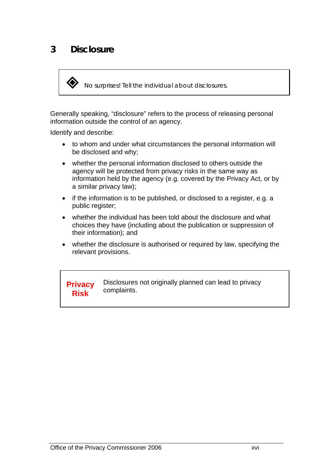# **3 Disclosure**

*No surprises! Tell the individual about disclosures.* 

Generally speaking, "disclosure" refers to the process of releasing personal information outside the control of an agency.

Identify and describe:

- to whom and under what circumstances the personal information will be disclosed and why;
- whether the personal information disclosed to others outside the agency will be protected from privacy risks in the same way as information held by the agency (e.g. covered by the Privacy Act, or by a similar privacy law);
- if the information is to be published, or disclosed to a register, e.g. a public register;
- whether the individual has been told about the disclosure and what choices they have (including about the publication or suppression of their information); and
- whether the disclosure is authorised or required by law, specifying the relevant provisions.

**Privacy Risk**  Disclosures not originally planned can lead to privacy complaints.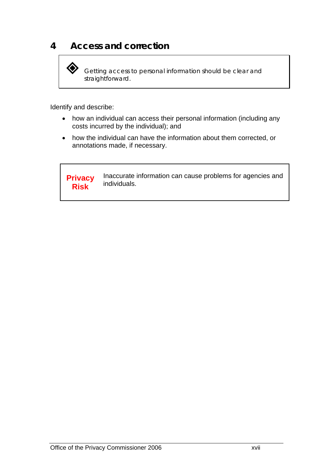# **4 Access and correction**

 *Getting access to personal information should be clear and straightforward.* 

Identify and describe:

- how an individual can access their personal information (including any costs incurred by the individual); and
- how the individual can have the information about them corrected, or annotations made, if necessary.

**Privacy Risk**  Inaccurate information can cause problems for agencies and individuals.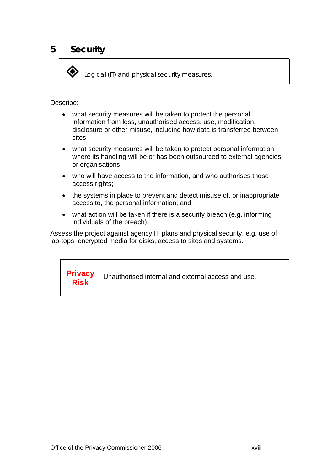*Logical (IT) and physical security measures.* 

Describe:

- what security measures will be taken to protect the personal information from loss, unauthorised access, use, modification, disclosure or other misuse, including how data is transferred between sites;
- what security measures will be taken to protect personal information where its handling will be or has been outsourced to external agencies or organisations;
- who will have access to the information, and who authorises those access rights;
- the systems in place to prevent and detect misuse of, or inappropriate access to, the personal information; and
- what action will be taken if there is a security breach (e.g. informing individuals of the breach).

Assess the project against agency IT plans and physical security, e.g. use of lap-tops, encrypted media for disks, access to sites and systems.

**Privacy Risk**  Unauthorised internal and external access and use.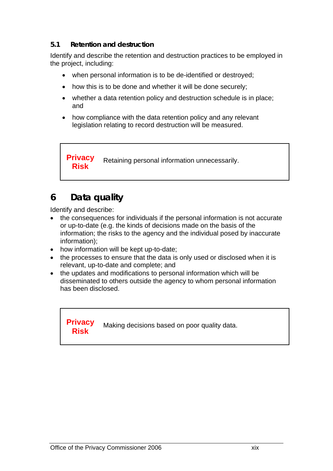## **5.1 Retention and destruction**

Identify and describe the retention and destruction practices to be employed in the project, including:

- when personal information is to be de-identified or destroyed;
- how this is to be done and whether it will be done securely;
- whether a data retention policy and destruction schedule is in place; and
- how compliance with the data retention policy and any relevant legislation relating to record destruction will be measured.

**Privacy Risk Filter** Retaining personal information unnecessarily.

# **6 Data quality**

Identify and describe:

- the consequences for individuals if the personal information is not accurate or up-to-date (e.g. the kinds of decisions made on the basis of the information; the risks to the agency and the individual posed by inaccurate information);
- how information will be kept up-to-date;
- the processes to ensure that the data is only used or disclosed when it is relevant, up-to-date and complete; and
- the updates and modifications to personal information which will be disseminated to others outside the agency to whom personal information has been disclosed.

**Privacy Risk** *Making decisions based on poor quality data.*<br>**Risk**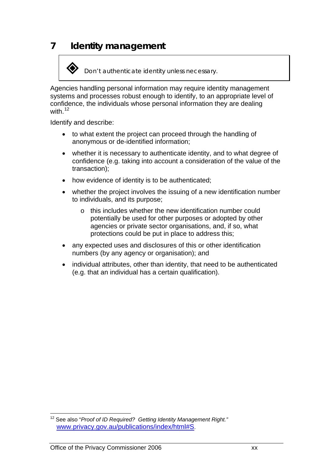# **7 Identity management**



Agencies handling personal information may require identity management systems and processes robust enough to identify, to an appropriate level of confidence, the individuals whose personal information they are dealing with  $12$ 

Identify and describe:

- to what extent the project can proceed through the handling of anonymous or de-identified information;
- whether it is necessary to authenticate identity, and to what degree of confidence (e.g. taking into account a consideration of the value of the transaction);
- how evidence of identity is to be authenticated;
- whether the project involves the issuing of a new identification number to individuals, and its purpose;
	- o this includes whether the new identification number could potentially be used for other purposes or adopted by other agencies or private sector organisations, and, if so, what protections could be put in place to address this;
- any expected uses and disclosures of this or other identification numbers (by any agency or organisation); and
- individual attributes, other than identity, that need to be authenticated (e.g. that an individual has a certain qualification).

<span id="page-40-0"></span> $\overline{a}$ 12 See also "*Proof of ID Required? Getting Identity Management Right."* [www.privacy.gov.au/publications/index/html#S](http://www.privacy.gov.au/publications/index.html#S).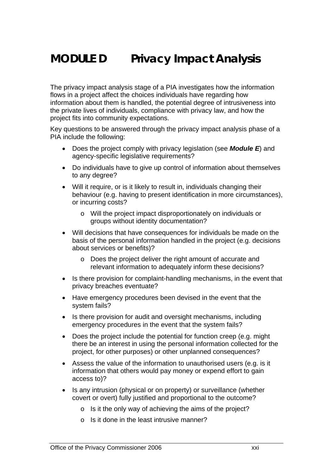# **MODULE D Privacy Impact Analysis**

The privacy impact analysis stage of a PIA investigates how the information flows in a project affect the choices individuals have regarding how information about them is handled, the potential degree of intrusiveness into the private lives of individuals, compliance with privacy law, and how the project fits into community expectations.

Key questions to be answered through the privacy impact analysis phase of a PIA include the following:

- Does the project comply with privacy legislation (see *Module E*) and agency-specific legislative requirements?
- Do individuals have to give up control of information about themselves to any degree?
- Will it require, or is it likely to result in, individuals changing their behaviour (e.g. having to present identification in more circumstances), or incurring costs?
	- o Will the project impact disproportionately on individuals or groups without identity documentation?
- Will decisions that have consequences for individuals be made on the basis of the personal information handled in the project (e.g. decisions about services or benefits)?
	- o Does the project deliver the right amount of accurate and relevant information to adequately inform these decisions?
- Is there provision for complaint-handling mechanisms, in the event that privacy breaches eventuate?
- Have emergency procedures been devised in the event that the system fails?
- Is there provision for audit and oversight mechanisms, including emergency procedures in the event that the system fails?
- Does the project include the potential for function creep (e.g. might there be an interest in using the personal information collected for the project, for other purposes) or other unplanned consequences?
- Assess the value of the information to unauthorised users (e.g. is it information that others would pay money or expend effort to gain access to)?
- Is any intrusion (physical or on property) or surveillance (whether covert or overt) fully justified and proportional to the outcome?
	- o Is it the only way of achieving the aims of the project?
	- o Is it done in the least intrusive manner?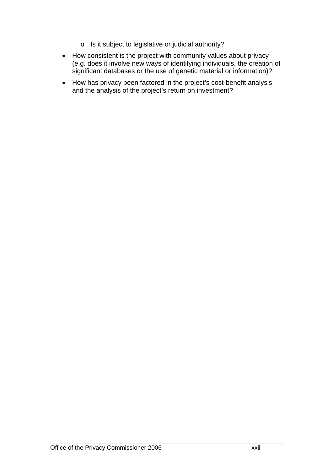- o Is it subject to legislative or judicial authority?
- How consistent is the project with community values about privacy (e.g. does it involve new ways of identifying individuals, the creation of significant databases or the use of genetic material or information)?
- How has privacy been factored in the project's cost-benefit analysis, and the analysis of the project's return on investment?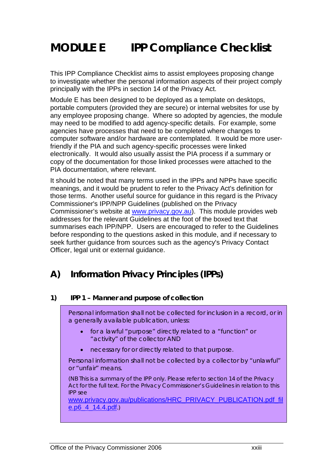# **MODULE E IPP Compliance Checklist**

This IPP Compliance Checklist aims to assist employees proposing change to investigate whether the personal information aspects of their project comply principally with the IPPs in section 14 of the Privacy Act.

Module E has been designed to be deployed as a template on desktops, portable computers (provided they are secure) or internal websites for use by any employee proposing change. Where so adopted by agencies, the module may need to be modified to add agency-specific details. For example, some agencies have processes that need to be completed where changes to computer software and/or hardware are contemplated. It would be more userfriendly if the PIA and such agency-specific processes were linked electronically. It would also usually assist the PIA process if a summary or copy of the documentation for those linked processes were attached to the PIA documentation, where relevant.

It should be noted that many terms used in the IPPs and NPPs have specific meanings, and it would be prudent to refer to the Privacy Act's definition for those terms. Another useful source for guidance in this regard is the Privacy Commissioner's IPP/NPP Guidelines (published on the Privacy Commissioner's website at [www.privacy.gov.au\)](http://www.privacy.gov.au/). This module provides web addresses for the relevant Guidelines at the foot of the boxed text that summarises each IPP/NPP. Users are encouraged to refer to the Guidelines before responding to the questions asked in this module, and if necessary to seek further guidance from sources such as the agency's Privacy Contact Officer, legal unit or external guidance.

## **A) Information Privacy Principles (IPPs)**

#### **1) IPP 1 – Manner and purpose of collection**

Personal information shall not be collected for inclusion in a record, or in a generally available publication, unless:

- for a lawful "purpose" directly related to a "function" or "activity" of the collector AND
- necessary for or directly related to that purpose.

Personal information shall not be collected by a collector by "unlawful" or "unfair" means.

(NB This is a summary of the IPP only. Please refer to section 14 of the Privacy Act for the full text. For the Privacy Commissioner's Guidelines in relation to this IPP see

[www.privacy.gov.au/publications/HRC\\_PRIVACY\\_PUBLICATION.pdf\\_fil](http://www.privacy.gov.au/publications/HRC_PRIVACY_PUBLICATION.pdf_file.p6_4_14.4.pdf) [e.p6\\_4\\_14.4.pdf](http://www.privacy.gov.au/publications/HRC_PRIVACY_PUBLICATION.pdf_file.p6_4_14.4.pdf).)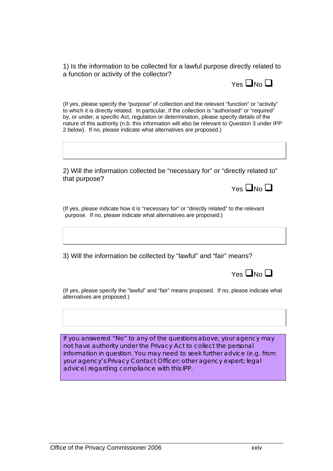1) Is the information to be collected for a lawful purpose directly related to a function or activity of the collector?



(If yes, please specify the "purpose" of collection and the relevant "function" or "activity" to which it is directly related. In particular, if the collection is "authorised" or "required" by, or under, a specific Act, regulation or determination, please specify details of the nature of this authority (n.b. this information will also be relevant to Question 3 under IPP 2 below). If no, please indicate what alternatives are proposed.)

2) Will the information collected be "necessary for" or "directly related to" that purpose?

 $Y_{PS}$   $\Box$  No  $\Box$ 

(If yes, please indicate how it is "necessary for" or "directly related" to the relevant purpose. If no, please indicate what alternatives are proposed.)

3) Will the information be collected by "lawful" and "fair" means?

(If yes, please specify the "lawful" and "fair" means proposed. If no, please indicate what alternatives are proposed.)

If you answered "No" to any of the questions above, your agency may not have authority under the Privacy Act to collect the personal information in question. You may need to seek further advice (e.g. from your agency's Privacy Contact Officer; other agency expert; legal advice) regarding compliance with this IPP.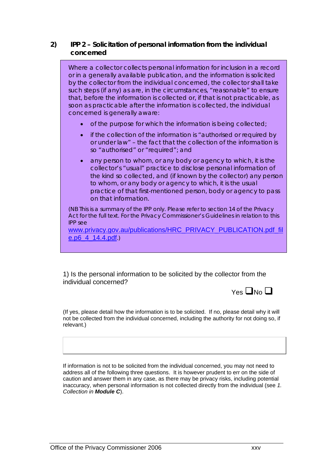### **2) IPP 2 – Solicitation of personal information from the individual concerned**

Where a collector collects personal information for inclusion in a record or in a generally available publication, and the information is solicited by the collector from the individual concerned, the collector shall take such steps (if any) as are, in the circumstances, "reasonable" to ensure that, before the information is collected or, if that is not practicable, as soon as practicable after the information is collected, the individual concerned is generally aware:

- of the purpose for which the information is being collected;
- if the collection of the information is "authorised or required by or under law" – the fact that the collection of the information is so "authorised" or "required"; and
- any person to whom, or any body or agency to which, it is the collector's "usual" practice to disclose personal information of the kind so collected, and (if known by the collector) any person to whom, or any body or agency to which, it is the usual practice of that first-mentioned person, body or agency to pass on that information.

(NB This is a summary of the IPP only. Please refer to section 14 of the Privacy Act for the full text. For the Privacy Commissioner's Guidelines in relation to this IPP see

[www.privacy.gov.au/publications/HRC\\_PRIVACY\\_PUBLICATION.pdf\\_fil](http://www.privacy.gov.au/publications/HRC_PRIVACY_PUBLICATION.pdf_file.p6_4_14.4.pdf) [e.p6\\_4\\_14.4.pdf](http://www.privacy.gov.au/publications/HRC_PRIVACY_PUBLICATION.pdf_file.p6_4_14.4.pdf).)

1) Is the personal information to be solicited by the collector from the individual concerned?



(If yes, please detail how the information is to be solicited. If no, please detail why it will not be collected from the individual concerned, including the authority for not doing so, if relevant.)

If information is not to be solicited from the individual concerned, you may not need to address all of the following three questions. It is however prudent to err on the side of caution and answer them in any case, as there may be privacy risks, including potential inaccuracy, when personal information is not collected directly from the individual (see *1. Collection in Module C*).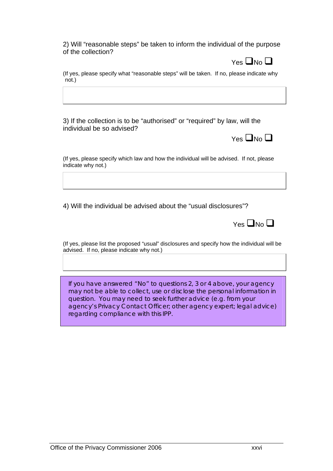2) Will "reasonable steps" be taken to inform the individual of the purpose of the collection?



(If yes, please specify what "reasonable steps" will be taken. If no, please indicate why not.)

3) If the collection is to be "authorised" or "required" by law, will the individual be so advised?



(If yes, please specify which law and how the individual will be advised. If not, please indicate why not.)

4) Will the individual be advised about the "usual disclosures"?

 $Yes$   $\neg$  No  $\neg$ 

(If yes, please list the proposed "usual" disclosures and specify how the individual will be advised. If no, please indicate why not.)

If you have answered "No" to questions 2, 3 or 4 above, your agency may not be able to collect, use or disclose the personal information in question. You may need to seek further advice (e.g. from your agency's Privacy Contact Officer; other agency expert; legal advice) regarding compliance with this IPP.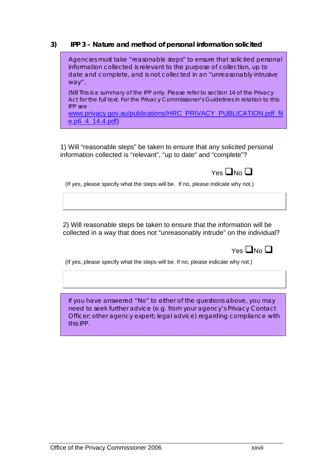#### **3) IPP 3 – Nature and method of personal information solicited**

 Agencies must take "reasonable steps" to ensure that solicited personal information collected is relevant to the purpose of collection, up to date and complete, and is not collected in an "unreasonably intrusive way".

(NB This is a summary of the IPP only. Please refer to section 14 of the Privacy Act for the full text. For the Privacy Commissioner's Guidelines in relation to this IPP see

[www.privacy.gov.au/publications/HRC\\_PRIVACY\\_PUBLICATION.pdf\\_fil](http://www.privacy.gov.au/publications/HRC_PRIVACY_PUBLICATION.pdf_file.p6_4_14.4.pdf) [e.p6\\_4\\_14.4.pdf](http://www.privacy.gov.au/publications/HRC_PRIVACY_PUBLICATION.pdf_file.p6_4_14.4.pdf))

1) Will "reasonable steps" be taken to ensure that any solicited personal information collected is "relevant", "up to date" and "complete"?

(If yes, please specify what the steps will be. If no, please indicate why not.)

2) Will reasonable steps be taken to ensure that the information will be collected in a way that does not "unreasonably intrude" on the individual?

| $Yes$ $\neg$ No $\neg$ |  |
|------------------------|--|
|------------------------|--|

(If yes, please specify what the steps will be. If no, please indicate why not.)

If you have answered "No" to either of the questions above, you may need to seek further advice (e.g. from your agency's Privacy Contact Officer; other agency expert; legal advice) regarding compliance with this IPP.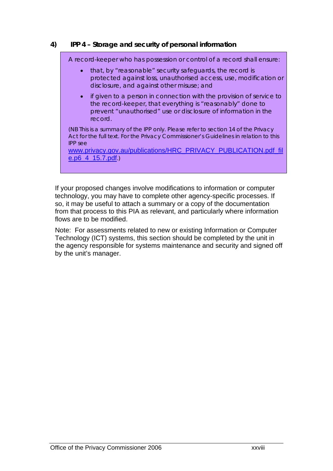## **4) IPP 4 – Storage and security of personal information**

A record-keeper who has possession or control of a record shall ensure: • that, by "reasonable" security safeguards, the record is protected against loss, unauthorised access, use, modification or disclosure, and against other misuse; and • if given to a person in connection with the provision of service to the record-keeper, that everything is "reasonably" done to prevent "unauthorised" use or disclosure of information in the record. (NB This is a summary of the IPP only. Please refer to section 14 of the Privacy Act for the full text. For the Privacy Commissioner's Guidelines in relation to this IPP see [www.privacy.gov.au/publications/HRC\\_PRIVACY\\_PUBLICATION.pdf\\_fil](http://www.privacy.gov.au/publications/HRC_PRIVACY_PUBLICATION.pdf_file.p6_4_15.7.pdf) [e.p6\\_4\\_15.7.pdf](http://www.privacy.gov.au/publications/HRC_PRIVACY_PUBLICATION.pdf_file.p6_4_15.7.pdf).)

If your proposed changes involve modifications to information or computer technology, you may have to complete other agency-specific processes. If so, it may be useful to attach a summary or a copy of the documentation from that process to this PIA as relevant, and particularly where information flows are to be modified.

Note: For assessments related to new or existing Information or Computer Technology (ICT) systems, this section should be completed by the unit in the agency responsible for systems maintenance and security and signed off by the unit's manager.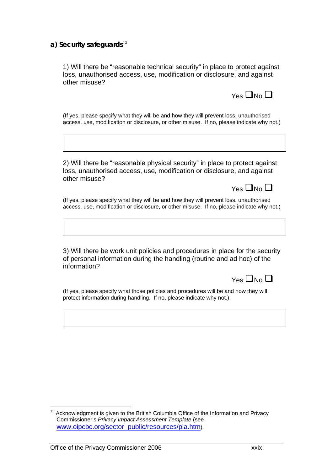#### a) Security safeguards<sup>[13](#page-49-0)</sup>

1) Will there be "reasonable technical security" in place to protect against loss, unauthorised access, use, modification or disclosure, and against other misuse?



 $Y_{PS}$   $\Box$ No  $\Box$ 

(If yes, please specify what they will be and how they will prevent loss, unauthorised access, use, modification or disclosure, or other misuse. If no, please indicate why not.)

2) Will there be "reasonable physical security" in place to protect against loss, unauthorised access, use, modification or disclosure, and against other misuse?

(If yes, please specify what they will be and how they will prevent loss, unauthorised access, use, modification or disclosure, or other misuse. If no, please indicate why not.)

3) Will there be work unit policies and procedures in place for the security of personal information during the handling (routine and ad hoc) of the information?

| $\square$ No<br>29 |
|--------------------|
|--------------------|

(If yes, please specify what those policies and procedures will be and how they will protect information during handling. If no, please indicate why not.)

<span id="page-49-0"></span> $\overline{a}$ Acknowledgment is given to the British Columbia Office of the Information and Privacy Commissioner's *Privacy Impact Assessment Template* (see [www.oipcbc.org/sector\\_public/resources/pia.htm\)](http://www.oipcbc.org/sector_public/resources/pia.htm).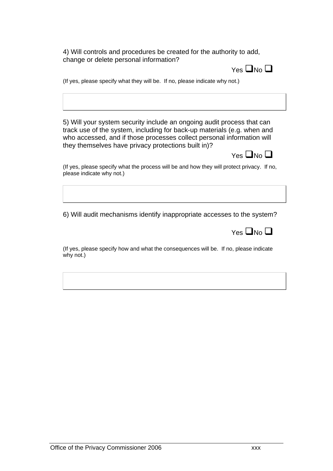4) Will controls and procedures be created for the authority to add, change or delete personal information?



(If yes, please specify what they will be. If no, please indicate why not.)

5) Will your system security include an ongoing audit process that can track use of the system, including for back-up materials (e.g. when and who accessed, and if those processes collect personal information will they themselves have privacy protections built in)?



(If yes, please specify what the process will be and how they will protect privacy. If no, please indicate why not.)

6) Will audit mechanisms identify inappropriate accesses to the system?

(If yes, please specify how and what the consequences will be. If no, please indicate why not.)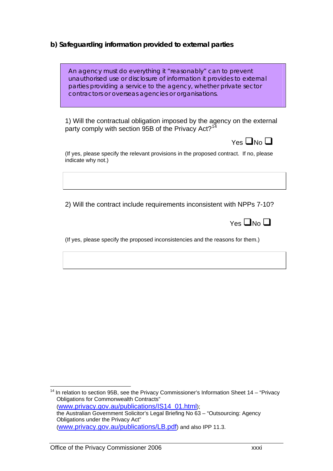## **b) Safeguarding information provided to external parties**

| An agency must do everything it "reasonably" can to prevent           |
|-----------------------------------------------------------------------|
| unauthorised use or disclosure of information it provides to external |
| parties providing a service to the agency, whether private sector     |
| contractors or overseas agencies or organisations.                    |

 1) Will the contractual obligation imposed by the agency on the external party comply with section 95B of the Privacy Act?<sup>[14](#page-51-0)</sup>

(If yes, please specify the relevant provisions in the proposed contract. If no, please indicate why not.)

2) Will the contract include requirements inconsistent with NPPs 7-10?

|  |  | $Yes$ $\neg$ No $\neg$ |
|--|--|------------------------|

(If yes, please specify the proposed inconsistencies and the reasons for them.)

<span id="page-51-0"></span> $\overline{a}$  $14$  In relation to section 95B, see the Privacy Commissioner's Information Sheet 14 – "Privacy Obligations for Commonwealth Contracts" ([www.privacy.gov.au/publications/IS14\\_01.html](http://www.privacy.gov.au/publications/IS14_01.html)); the Australian Government Solicitor's Legal Briefing No 63 – "Outsourcing: Agency Obligations under the Privacy Act" ([www.privacy.gov.au/publications/LB.pdf](http://www.privacy.gov.au/publications/LB.pdf)) and also IPP 11.3.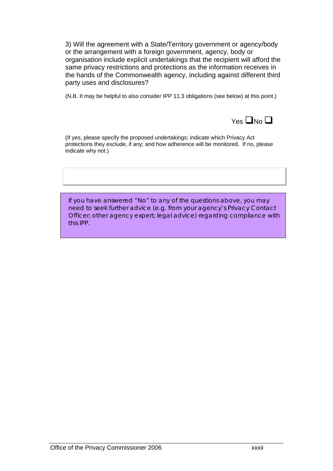3) Will the agreement with a State/Territory government or agency/body or the arrangement with a foreign government, agency, body or organisation include explicit undertakings that the recipient will afford the same privacy restrictions and protections as the information receives in the hands of the Commonwealth agency, including against different third party uses and disclosures?

(N.B. It may be helpful to also consider IPP 11.3 obligations (see below) at this point.)



(If yes, please specify the proposed undertakings; indicate which Privacy Act protections they exclude, if any; and how adherence will be monitored. If no, please indicate why not.)

If you have answered "No" to any of the questions above, you may need to seek further advice (e.g. from your agency's Privacy Contact Officer; other agency expert; legal advice) regarding compliance with this IPP.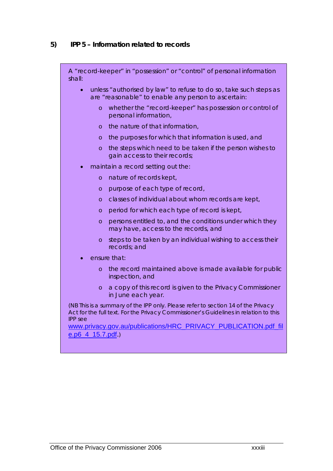## **5) IPP 5 – Information related to records**

A "record-keeper" in "possession" or "control" of personal information shall:

- unless "authorised by law" to refuse to do so, take such steps as are "reasonable" to enable any person to ascertain:
	- o whether the "record-keeper" has possession or control of personal information,
	- o the nature of that information,
	- o the purposes for which that information is used, and
	- o the steps which need to be taken if the person wishes to gain access to their records;
- maintain a record setting out the:
	- o nature of records kept,
	- o purpose of each type of record,
	- o classes of individual about whom records are kept,
	- o period for which each type of record is kept,
	- o persons entitled to, and the conditions under which they may have, access to the records, and
	- o steps to be taken by an individual wishing to access their records; and
- ensure that:
	- o the record maintained above is made available for public inspection, and
	- o a copy of this record is given to the Privacy Commissioner in June each year.

(NB This is a summary of the IPP only. Please refer to section 14 of the Privacy Act for the full text. For the Privacy Commissioner's Guidelines in relation to this IPP see

[www.privacy.gov.au/publications/HRC\\_PRIVACY\\_PUBLICATION.pdf\\_fil](http://www.privacy.gov.au/publications/HRC_PRIVACY_PUBLICATION.pdf_file.p6_4_15.7.pdf) [e.p6\\_4\\_15.7.pdf](http://www.privacy.gov.au/publications/HRC_PRIVACY_PUBLICATION.pdf_file.p6_4_15.7.pdf).)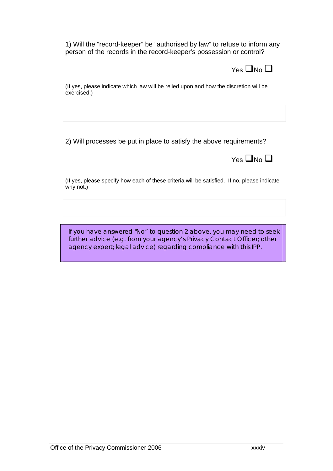1) Will the "record-keeper" be "authorised by law" to refuse to inform any person of the records in the record-keeper's possession or control?



(If yes, please indicate which law will be relied upon and how the discretion will be exercised.)

2) Will processes be put in place to satisfy the above requirements?



(If yes, please specify how each of these criteria will be satisfied. If no, please indicate why not.)

If you have answered "No" to question 2 above, you may need to seek further advice (e.g. from your agency's Privacy Contact Officer; other agency expert; legal advice) regarding compliance with this IPP.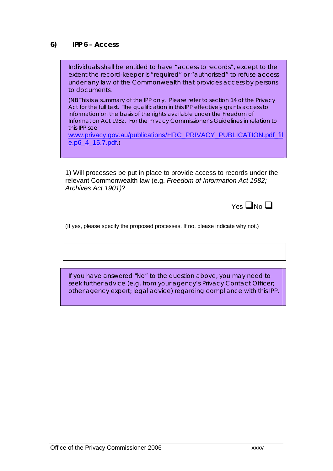#### **6) IPP 6 – Access**

Individuals shall be entitled to have "access to records", except to the extent the record-keeper is "required" or "authorised" to refuse access under any law of the Commonwealth that provides access by persons to documents.

(NB This is a summary of the IPP only. Please refer to section 14 of the Privacy Act for the full text. The qualification in this IPP effectively grants access to information on the basis of the rights available under the *Freedom of Information Act 1982.* For the Privacy Commissioner's Guidelines in relation to this IPP see

[www.privacy.gov.au/publications/HRC\\_PRIVACY\\_PUBLICATION.pdf\\_fil](http://www.privacy.gov.au/publications/HRC_PRIVACY_PUBLICATION.pdf_file.p6_4_15.7.pdf) [e.p6\\_4\\_15.7.pdf](http://www.privacy.gov.au/publications/HRC_PRIVACY_PUBLICATION.pdf_file.p6_4_15.7.pdf).)

1) Will processes be put in place to provide access to records under the relevant Commonwealth law (e.g. *Freedom of Information Act 1982; Archives Act 1901)*?

 $Y_{\text{e}} \square_{\text{No}} \square$ 

(If yes, please specify the proposed processes. If no, please indicate why not.)

If you have answered "No" to the question above, you may need to seek further advice (e.g. from your agency's Privacy Contact Officer; other agency expert; legal advice) regarding compliance with this IPP.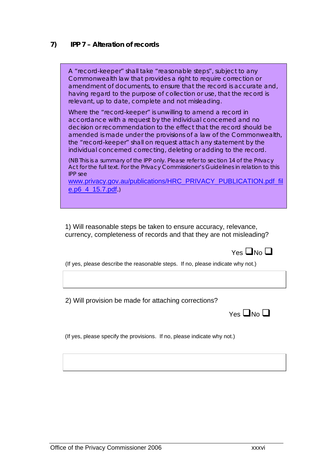#### **7) IPP 7 – Alteration of records**

A "record-keeper" shall take "reasonable steps", subject to any Commonwealth law that provides a right to require correction or amendment of documents, to ensure that the record is accurate and, having regard to the purpose of collection or use, that the record is relevant, up to date, complete and not misleading. Where the "record-keeper" is unwilling to amend a record in accordance with a request by the individual concerned and no decision or recommendation to the effect that the record should be amended is made under the provisions of a law of the Commonwealth, the "record-keeper" shall on request attach any statement by the individual concerned correcting, deleting or adding to the record. (NB This is a summary of the IPP only. Please refer to section 14 of the Privacy Act for the full text. For the Privacy Commissioner's Guidelines in relation to this IPP see [www.privacy.gov.au/publications/HRC\\_PRIVACY\\_PUBLICATION.pdf\\_fil](http://www.privacy.gov.au/publications/HRC_PRIVACY_PUBLICATION.pdf_file.p6_4_15.7.pdf) [e.p6\\_4\\_15.7.pdf](http://www.privacy.gov.au/publications/HRC_PRIVACY_PUBLICATION.pdf_file.p6_4_15.7.pdf).)

 1) Will reasonable steps be taken to ensure accuracy, relevance, currency, completeness of records and that they are not misleading?



(If yes, please describe the reasonable steps. If no, please indicate why not.)

2) Will provision be made for attaching corrections?

 $Yes$   $\neg$  No  $\neg$ 

(If yes, please specify the provisions. If no, please indicate why not.)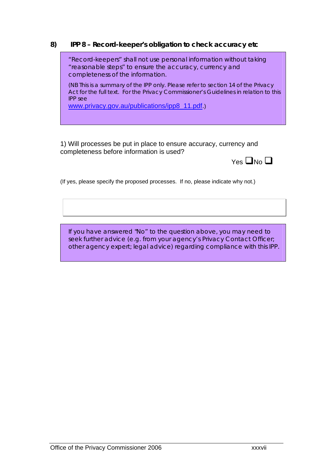## **8) IPP 8 – Record-keeper's obligation to check accuracy etc**

"Record-keepers" shall not use personal information without taking "reasonable steps" to ensure the accuracy, currency and completeness of the information.

(NB This is a summary of the IPP only. Please refer to section 14 of the Privacy Act for the full text. For the Privacy Commissioner's Guidelines in relation to this IPP see

[www.privacy.gov.au/publications/ipp8\\_11.pdf.](http://www.privacy.gov.au/publications/ipp8_11.pdf))

1) Will processes be put in place to ensure accuracy, currency and completeness before information is used?



(If yes, please specify the proposed processes. If no, please indicate why not.)

If you have answered "No" to the question above, you may need to seek further advice (e.g. from your agency's Privacy Contact Officer; other agency expert; legal advice) regarding compliance with this IPP.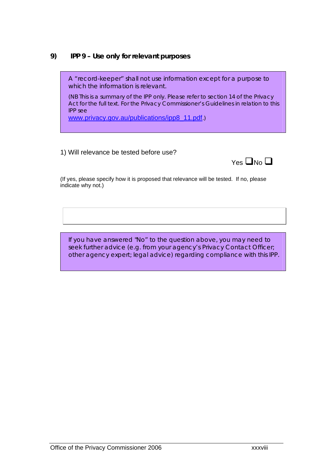## **9) IPP 9 – Use only for relevant purposes**

A "record-keeper" shall not use information except for a purpose to which the information is relevant.

(NB This is a summary of the IPP only. Please refer to section 14 of the Privacy Act for the full text. For the Privacy Commissioner's Guidelines in relation to this IPP see

[www.privacy.gov.au/publications/ipp8\\_11.pdf](http://www.privacy.gov.au/publications/ipp8_11.pdf).)

#### 1) Will relevance be tested before use?



(If yes, please specify how it is proposed that relevance will be tested. If no, please indicate why not.)

If you have answered "No" to the question above, you may need to seek further advice (e.g. from your agency's Privacy Contact Officer; other agency expert; legal advice) regarding compliance with this IPP.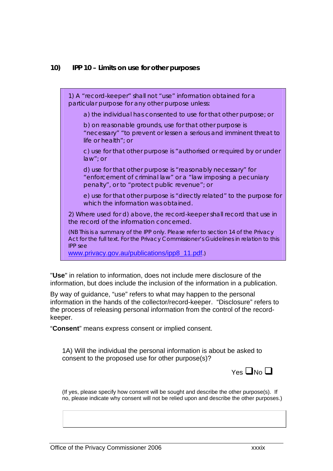#### **10) IPP 10 – Limits on use for other purposes**

1) A "record-keeper" shall not "use" information obtained for a particular purpose for any other purpose unless:

a) the individual has consented to use for that other purpose; or

b) on reasonable grounds, use for that other purpose is "necessary" "to prevent or lessen a serious and imminent threat to life or health"; or

c) use for that other purpose is "authorised or required by or under law"; or

d) use for that other purpose is "reasonably necessary" for "enforcement of criminal law" or a "law imposing a pecuniary penalty", or to "protect public revenue"; or

e) use for that other purpose is "directly related" to the purpose for which the information was obtained.

2) Where used for d) above, the record-keeper shall record that use in the record of the information concerned.

(NB This is a summary of the IPP only. Please refer to section 14 of the Privacy Act for the full text. For the Privacy Commissioner's Guidelines in relation to this IPP see

[www.privacy.gov.au/publications/ipp8\\_11.pdf](http://www.privacy.gov.au/publications/ipp8_11.pdf).)

"**Use**" in relation to information, does not include mere disclosure of the information, but does include the inclusion of the information in a publication.

By way of guidance, "use" refers to what may happen to the personal information in the hands of the collector/record-keeper. "Disclosure" refers to the process of releasing personal information from the control of the recordkeeper.

"**Consent**" means express consent or implied consent.

1A) Will the individual the personal information is about be asked to consent to the proposed use for other purpose(s)?



(If yes, please specify how consent will be sought and describe the other purpose(s). If no, please indicate why consent will not be relied upon and describe the other purposes.)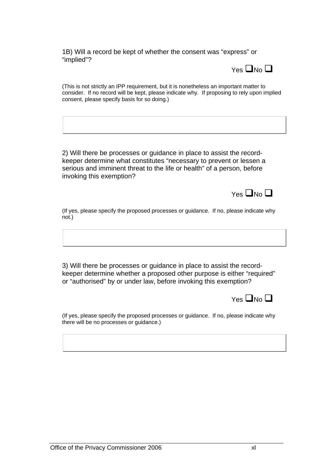1B) Will a record be kept of whether the consent was "express" or "implied"?



(This is not strictly an IPP requirement, but it is nonetheless an important matter to consider. If no record will be kept, please indicate why. If proposing to rely upon implied consent, please specify basis for so doing.)

2) Will there be processes or guidance in place to assist the recordkeeper determine what constitutes "necessary to prevent or lessen a serious and imminent threat to the life or health" of a person, before invoking this exemption?

 $Yes$   $\neg$  No  $\neg$ 

(If yes, please specify the proposed processes or guidance. If no, please indicate why not.)

3) Will there be processes or guidance in place to assist the recordkeeper determine whether a proposed other purpose is either "required" or "authorised" by or under law, before invoking this exemption?



(If yes, please specify the proposed processes or guidance. If no, please indicate why there will be no processes or guidance.)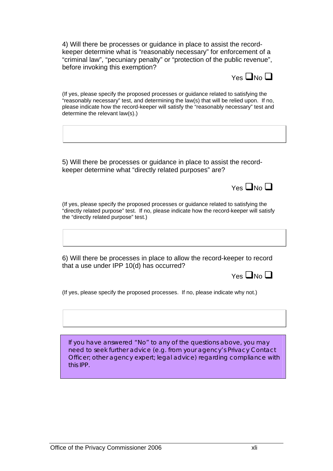4) Will there be processes or guidance in place to assist the recordkeeper determine what is "reasonably necessary" for enforcement of a "criminal law", "pecuniary penalty" or "protection of the public revenue", before invoking this exemption?



(If yes, please specify the proposed processes or guidance related to satisfying the "reasonably necessary" test, and determining the law(s) that will be relied upon. If no, please indicate how the record-keeper will satisfy the "reasonably necessary" test and determine the relevant law(s).)

5) Will there be processes or guidance in place to assist the recordkeeper determine what "directly related purposes" are?

 $Y_{PS}$   $\Box$ No  $\Box$ 

(If yes, please specify the proposed processes or guidance related to satisfying the "directly related purpose" test. If no, please indicate how the record-keeper will satisfy the "directly related purpose" test.)

6) Will there be processes in place to allow the record-keeper to record that a use under IPP 10(d) has occurred?

 $Yes$   $\neg$  No  $\neg$ 

(If yes, please specify the proposed processes. If no, please indicate why not.)

If you have answered "No" to any of the questions above, you may need to seek further advice (e.g. from your agency's Privacy Contact Officer; other agency expert; legal advice) regarding compliance with this IPP.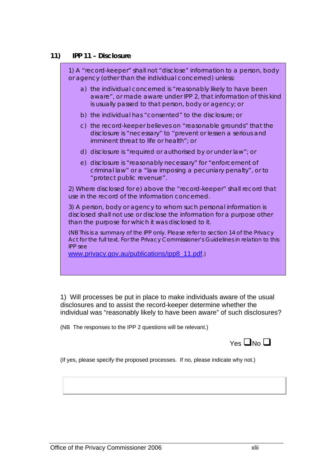#### **11) IPP 11 – Disclosure**

1) A "record-keeper" shall not "disclose" information to a person, body or agency (other than the individual concerned) unless: a) the individual concerned is "reasonably likely to have been aware", or made aware under IPP 2, that information of this kind is usually passed to that person, body or agency; or b) the individual has "consented" to the disclosure; or c) the record-keeper believes on "reasonable grounds" that the disclosure is "necessary" to "prevent or lessen a serious and imminent threat to life or health"; or d) disclosure is "required or authorised by or under law"; or e) disclosure is "reasonably necessary" for "enforcement of criminal law" or a "law imposing a pecuniary penalty", or to "protect public revenue". 2) Where disclosed for e) above the "record-keeper" shall record that use in the record of the information concerned. 3) A person, body or agency to whom such personal information is disclosed shall not use or disclose the information for a purpose other than the purpose for which it was disclosed to it. (NB This is a summary of the IPP only. Please refer to section 14 of the Privacy Act for the full text. For the Privacy Commissioner's Guidelines in relation to this IPP see [www.privacy.gov.au/publications/ipp8\\_11.pdf](http://www.privacy.gov.au/publications/ipp8_11.pdf).)

1) Will processes be put in place to make individuals aware of the usual disclosures and to assist the record-keeper determine whether the individual was "reasonably likely to have been aware" of such disclosures?

(NB The responses to the IPP 2 questions will be relevant.)



(If yes, please specify the proposed processes. If no, please indicate why not.)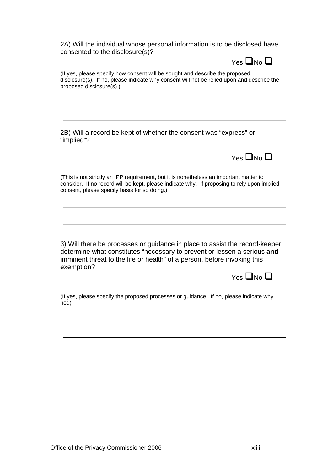2A) Will the individual whose personal information is to be disclosed have consented to the disclosure(s)?



(If yes, please specify how consent will be sought and describe the proposed disclosure(s). If no, please indicate why consent will not be relied upon and describe the proposed disclosure(s).)

2B) Will a record be kept of whether the consent was "express" or "implied"?



(This is not strictly an IPP requirement, but it is nonetheless an important matter to consider. If no record will be kept, please indicate why. If proposing to rely upon implied consent, please specify basis for so doing.)

3) Will there be processes or guidance in place to assist the record-keeper determine what constitutes "necessary to prevent or lessen a serious **and** imminent threat to the life or health" of a person, before invoking this exemption?

| $Yes$ $\neg$ No $\neg$ |
|------------------------|
|                        |

(If yes, please specify the proposed processes or guidance. If no, please indicate why not.)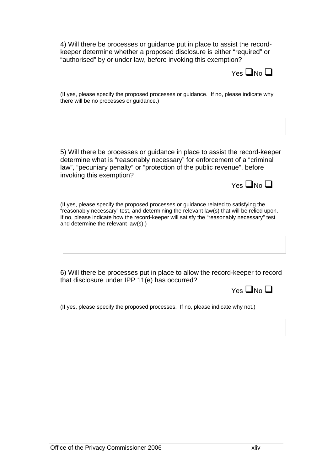4) Will there be processes or guidance put in place to assist the recordkeeper determine whether a proposed disclosure is either "required" or "authorised" by or under law, before invoking this exemption?



(If yes, please specify the proposed processes or guidance. If no, please indicate why there will be no processes or guidance.)

5) Will there be processes or guidance in place to assist the record-keeper determine what is "reasonably necessary" for enforcement of a "criminal law", "pecuniary penalty" or "protection of the public revenue", before invoking this exemption?

 $Yes$   $\neg$  No  $\neg$ 

(If yes, please specify the proposed processes or guidance related to satisfying the "reasonably necessary" test, and determining the relevant law(s) that will be relied upon. If no, please indicate how the record-keeper will satisfy the "reasonably necessary" test and determine the relevant law(s).)

6) Will there be processes put in place to allow the record-keeper to record that disclosure under IPP 11(e) has occurred?

 $Yes$   $\neg$  No  $\neg$ 

(If yes, please specify the proposed processes. If no, please indicate why not.)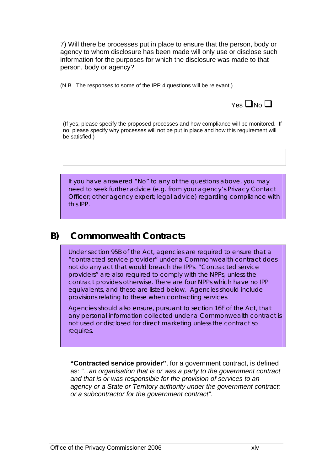7) Will there be processes put in place to ensure that the person, body or agency to whom disclosure has been made will only use or disclose such information for the purposes for which the disclosure was made to that person, body or agency?

(N.B. The responses to some of the IPP 4 questions will be relevant.)



(If yes, please specify the proposed processes and how compliance will be monitored. If no, please specify why processes will not be put in place and how this requirement will be satisfied.)

If you have answered "No" to any of the questions above, you may need to seek further advice (e.g. from your agency's Privacy Contact Officer; other agency expert; legal advice) regarding compliance with this IPP.

# **B) Commonwealth Contracts**

Under section 95B of the Act, agencies are required to ensure that a "contracted service provider" under a Commonwealth contract does not do any act that would breach the IPPs. "Contracted service providers" are also required to comply with the NPPs, unless the contract provides otherwise. There are four NPPs which have no IPP equivalents, and these are listed below. Agencies should include provisions relating to these when contracting services.

Agencies should also ensure, pursuant to section 16F of the Act, that any personal information collected under a Commonwealth contract is not used or disclosed for direct marketing unless the contract so requires.

**"Contracted service provider"**, for a government contract, is defined as: *"...an organisation that is or was a party to the government contract and that is or was responsible for the provision of services to an agency or a State or Territory authority under the government contract; or a subcontractor for the government contract".*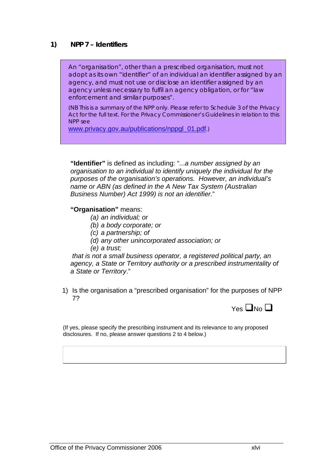#### **1) NPP 7 – Identifiers**

An "organisation", other than a prescribed organisation, must not adopt as its own "identifier" of an individual an identifier assigned by an agency, and must not use or disclose an identifier assigned by an agency unless necessary to fulfil an agency obligation, or for "law enforcement and similar purposes".

(NB This is a summary of the NPP only. Please refer to Schedule 3 of the Privacy Act for the full text. For the Privacy Commissioner's Guidelines in relation to this NPP see

[www.privacy.gov.au/publications/nppgl\\_01.pdf](http://www.privacy.gov.au/publications/nppgl_01.pdf).)

**"Identifier"** is defined as including: "...*a number assigned by an organisation to an individual to identify uniquely the individual for the purposes of the organisation's operations. However, an individual's name or ABN (as defined in the A New Tax System (Australian Business Number) Act 1999) is not an identifier*."

#### **"Organisation"** means:

- *(a) an individual; or*
- *(b) a body corporate; or*
- *(c) a partnership; of*
- *(d) any other unincorporated association; or*
- *(e) a trust;*

*that is not a small business operator, a registered political party, an agency, a State or Territory authority or a prescribed instrumentality of a State or Territory*."

1) Is the organisation a "prescribed organisation" for the purposes of NPP 7?



(If yes, please specify the prescribing instrument and its relevance to any proposed disclosures. If no, please answer questions 2 to 4 below.)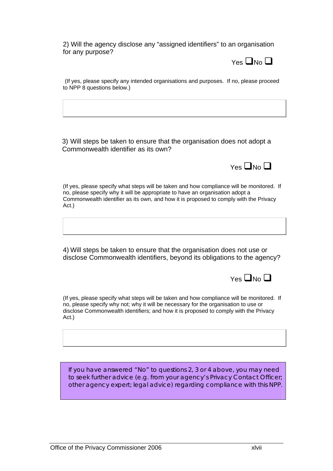2) Will the agency disclose any "assigned identifiers" to an organisation for any purpose?



(If yes, please specify any intended organisations and purposes. If no, please proceed to NPP 8 questions below.)

3) Will steps be taken to ensure that the organisation does not adopt a Commonwealth identifier as its own?



(If yes, please specify what steps will be taken and how compliance will be monitored. If no, please specify why it will be appropriate to have an organisation adopt a Commonwealth identifier as its own, and how it is proposed to comply with the Privacy Act.)

4) Will steps be taken to ensure that the organisation does not use or disclose Commonwealth identifiers, beyond its obligations to the agency?



(If yes, please specify what steps will be taken and how compliance will be monitored. If no, please specify why not; why it will be necessary for the organisation to use or disclose Commonwealth identifiers; and how it is proposed to comply with the Privacy Act.)

If you have answered "No" to questions 2, 3 or 4 above, you may need to seek further advice (e.g. from your agency's Privacy Contact Officer; other agency expert; legal advice) regarding compliance with this NPP.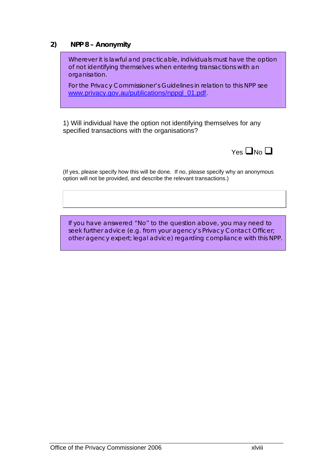### **2) NPP 8 – Anonymity**

Wherever it is lawful and practicable, individuals must have the option of not identifying themselves when entering transactions with an organisation.

For the Privacy Commissioner's Guidelines in relation to this NPP see [www.privacy.gov.au/publications/nppgl\\_01.pdf](http://www.privacy.gov.au/publications/nppgl_01.pdf).

1) Will individual have the option not identifying themselves for any specified transactions with the organisations?



(If yes, please specify how this will be done. If no, please specify why an anonymous option will not be provided, and describe the relevant transactions.)

If you have answered "No" to the question above, you may need to seek further advice (e.g. from your agency's Privacy Contact Officer; other agency expert; legal advice) regarding compliance with this NPP.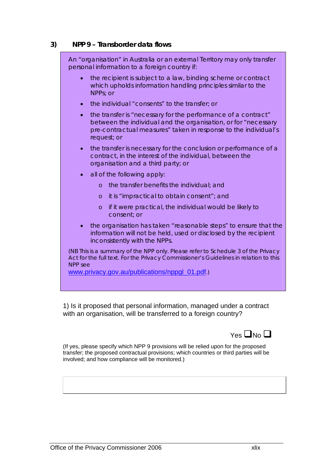#### **3) NPP 9 – Transborder data flows**

| An "organisation" in Australia or an external Territory may only transfer<br>personal information to a foreign country if:                                                                                                            |
|---------------------------------------------------------------------------------------------------------------------------------------------------------------------------------------------------------------------------------------|
| the recipient is subject to a law, binding scheme or contract<br>which upholds information handling principles similar to the<br>NPPs; or                                                                                             |
| the individual "consents" to the transfer; or<br>$\bullet$                                                                                                                                                                            |
| the transfer is "necessary for the performance of a contract"<br>$\bullet$<br>between the individual and the organisation, or for "necessary<br>pre-contractual measures" taken in response to the individual's<br>request; or        |
| the transfer is necessary for the conclusion or performance of a<br>$\bullet$<br>contract, in the interest of the individual, between the<br>organisation and a third party; or                                                       |
| all of the following apply:<br>$\bullet$                                                                                                                                                                                              |
| the transfer benefits the individual; and<br>$\circ$                                                                                                                                                                                  |
| it is "impractical to obtain consent"; and<br>$\circ$                                                                                                                                                                                 |
| if it were practical, the individual would be likely to<br>$\circ$<br>consent; or                                                                                                                                                     |
| the organisation has taken "reasonable steps" to ensure that the<br>information will not be held, used or disclosed by the recipient<br>inconsistently with the NPPs.                                                                 |
| (NB This is a summary of the NPP only. Please refer to Schedule 3 of the Privacy<br>Act for the full text. For the Privacy Commissioner's Guidelines in relation to this<br>NPP see<br>www.privacy.gov.au/publications/nppgl_01.pdf.) |
|                                                                                                                                                                                                                                       |

1) Is it proposed that personal information, managed under a contract with an organisation, will be transferred to a foreign country?



(If yes, please specify which NPP 9 provisions will be relied upon for the proposed transfer; the proposed contractual provisions; which countries or third parties will be involved; and how compliance will be monitored.)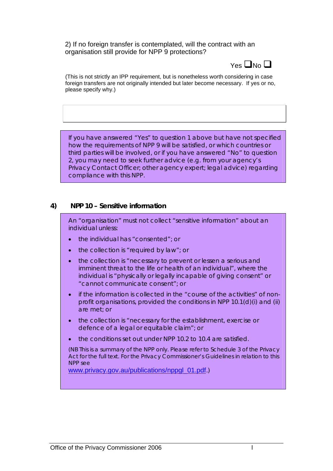2) If no foreign transfer is contemplated, will the contract with an organisation still provide for NPP 9 protections?



(This is not strictly an IPP requirement, but is nonetheless worth considering in case foreign transfers are not originally intended but later become necessary. If yes or no, please specify why.)

If you have answered "Yes" to question 1 above but have not specified how the requirements of NPP 9 will be satisfied, or which countries or third parties will be involved, or if you have answered "No" to question 2, you may need to seek further advice (e.g. from your agency's Privacy Contact Officer; other agency expert; legal advice) regarding compliance with this NPP.

#### **4) NPP 10 – Sensitive information**

An "organisation" must not collect "sensitive information" about an individual unless:

- the individual has "consented"; or
- the collection is "required by law"; or
- the collection is "necessary to prevent or lessen a serious and imminent threat to the life or health of an individual", where the individual is "physically or legally incapable of giving consent" or "cannot communicate consent"; or
- if the information is collected in the "course of the activities" of nonprofit organisations, provided the conditions in NPP 10.1(d)(i) and (ii) are met; or
- the collection is "necessary for the establishment, exercise or defence of a legal or equitable claim"; or
- the conditions set out under NPP 10.2 to 10.4 are satisfied.

(NB This is a summary of the NPP only. Please refer to Schedule 3 of the Privacy Act for the full text. For the Privacy Commissioner's Guidelines in relation to this NPP see

[www.privacy.gov.au/publications/nppgl\\_01.pdf](http://www.privacy.gov.au/publications/nppgl_01.pdf).)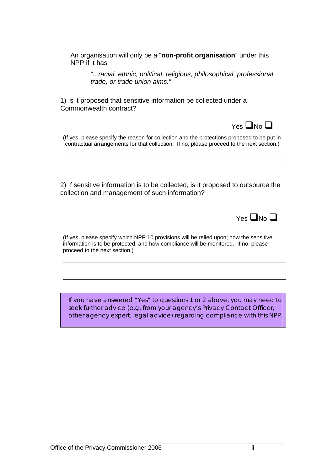An organisation will only be a "**non-profit organisation**" under this NPP if it has

*"...racial, ethnic, political, religious, philosophical, professional trade, or trade union aims."* 

1) Is it proposed that sensitive information be collected under a Commonwealth contract?



(If yes, please specify the reason for collection and the protections proposed to be put in contractual arrangements for that collection. If no, please proceed to the next section.)

2) If sensitive information is to be collected, is it proposed to outsource the collection and management of such information?

 $Y_{PS}$   $\Box$  No  $\Box$ 

(If yes, please specify which NPP 10 provisions will be relied upon; how the sensitive information is to be protected; and how compliance will be monitored. If no, please proceed to the next section.)

If you have answered "Yes" to questions 1 or 2 above, you may need to seek further advice (e.g. from your agency's Privacy Contact Officer; other agency expert; legal advice) regarding compliance with this NPP.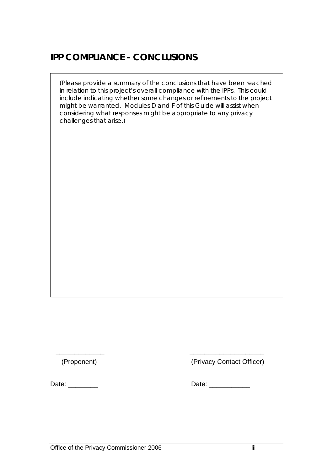## **IPP COMPLIANCE - CONCLUSIONS**

(Please provide a summary of the conclusions that have been reached in relation to this project's overall compliance with the IPPs. This could include indicating whether some changes or refinements to the project might be warranted. Modules D and F of this Guide will assist when considering what responses might be appropriate to any privacy challenges that arise.)

 $\overline{\phantom{a}}$  ,  $\overline{\phantom{a}}$  ,  $\overline{\phantom{a}}$  ,  $\overline{\phantom{a}}$  ,  $\overline{\phantom{a}}$  ,  $\overline{\phantom{a}}$  ,  $\overline{\phantom{a}}$  ,  $\overline{\phantom{a}}$  ,  $\overline{\phantom{a}}$  ,  $\overline{\phantom{a}}$  ,  $\overline{\phantom{a}}$  ,  $\overline{\phantom{a}}$  ,  $\overline{\phantom{a}}$  ,  $\overline{\phantom{a}}$  ,  $\overline{\phantom{a}}$  ,  $\overline{\phantom{a}}$ 

(Proponent) (Privacy Contact Officer)

Date: \_\_\_\_\_\_\_\_ Date: \_\_\_\_\_\_\_\_\_\_\_